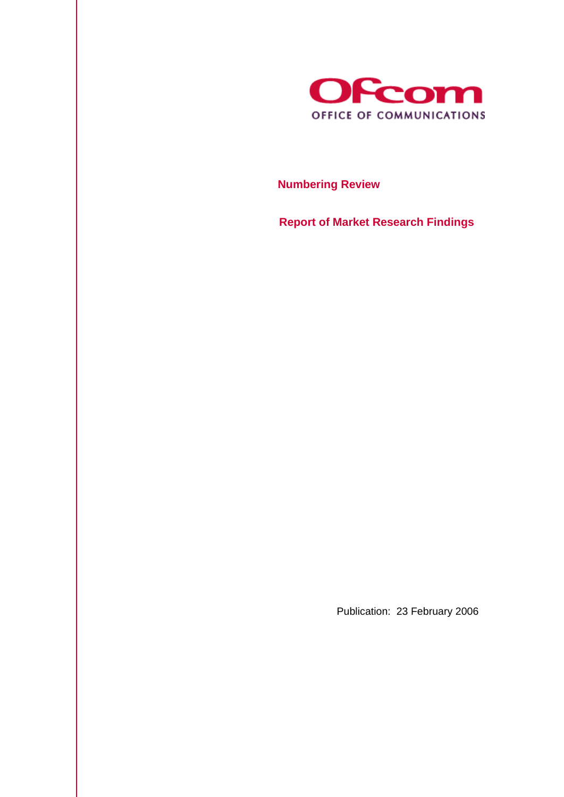

 **Numbering Review** 

 **Report of Market Research Findings** 

Publication: 23 February 2006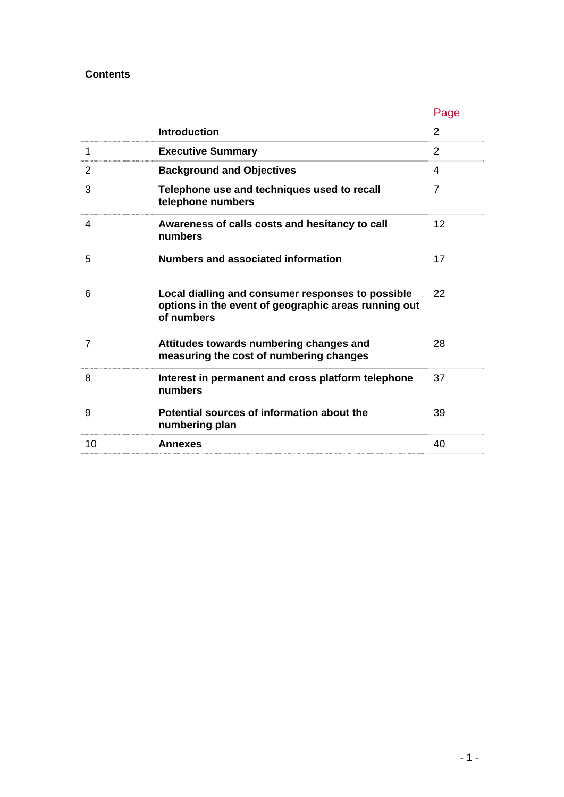## **Contents**

|    |                                                                                                                         | Page           |
|----|-------------------------------------------------------------------------------------------------------------------------|----------------|
|    | <b>Introduction</b>                                                                                                     | 2              |
| 1  | <b>Executive Summary</b>                                                                                                | $\overline{2}$ |
| 2  | <b>Background and Objectives</b>                                                                                        | 4              |
| 3  | Telephone use and techniques used to recall<br>telephone numbers                                                        | 7              |
| 4  | Awareness of calls costs and hesitancy to call<br>numbers                                                               | 12             |
| 5  | <b>Numbers and associated information</b>                                                                               | 17             |
| 6  | Local dialling and consumer responses to possible<br>options in the event of geographic areas running out<br>of numbers | 22             |
| 7  | Attitudes towards numbering changes and<br>measuring the cost of numbering changes                                      | 28             |
| 8  | Interest in permanent and cross platform telephone<br>numbers                                                           | 37             |
| 9  | Potential sources of information about the<br>numbering plan                                                            | 39             |
| 10 | <b>Annexes</b>                                                                                                          | 40             |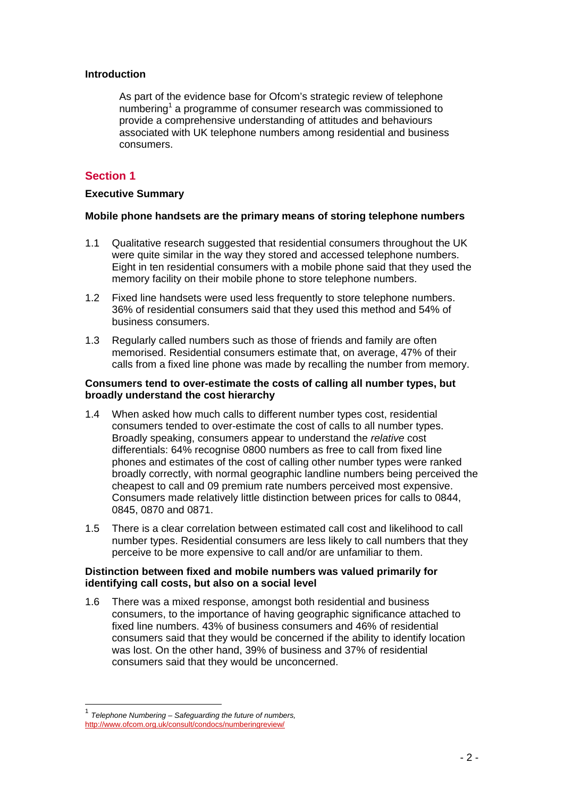#### **Introduction**

As part of the evidence base for Ofcom's strategic review of telephone numbering<sup>1</sup> a programme of consumer research was commissioned to provide a comprehensive understanding of attitudes and behaviours associated with UK telephone numbers among residential and business consumers.

## **Section 1**

#### **Executive Summary**

#### **Mobile phone handsets are the primary means of storing telephone numbers**

- 1.1 Qualitative research suggested that residential consumers throughout the UK were quite similar in the way they stored and accessed telephone numbers. Eight in ten residential consumers with a mobile phone said that they used the memory facility on their mobile phone to store telephone numbers.
- 1.2 Fixed line handsets were used less frequently to store telephone numbers. 36% of residential consumers said that they used this method and 54% of business consumers.
- 1.3 Regularly called numbers such as those of friends and family are often memorised. Residential consumers estimate that, on average, 47% of their calls from a fixed line phone was made by recalling the number from memory.

#### **Consumers tend to over-estimate the costs of calling all number types, but broadly understand the cost hierarchy**

- 1.4 When asked how much calls to different number types cost, residential consumers tended to over-estimate the cost of calls to all number types. Broadly speaking, consumers appear to understand the *relative* cost differentials: 64% recognise 0800 numbers as free to call from fixed line phones and estimates of the cost of calling other number types were ranked broadly correctly, with normal geographic landline numbers being perceived the cheapest to call and 09 premium rate numbers perceived most expensive. Consumers made relatively little distinction between prices for calls to 0844, 0845, 0870 and 0871.
- 1.5 There is a clear correlation between estimated call cost and likelihood to call number types. Residential consumers are less likely to call numbers that they perceive to be more expensive to call and/or are unfamiliar to them.

#### **Distinction between fixed and mobile numbers was valued primarily for identifying call costs, but also on a social level**

1.6 There was a mixed response, amongst both residential and business consumers, to the importance of having geographic significance attached to fixed line numbers. 43% of business consumers and 46% of residential consumers said that they would be concerned if the ability to identify location was lost. On the other hand, 39% of business and 37% of residential consumers said that they would be unconcerned.

<sup>1</sup> *Telephone Numbering – Safeguarding the future of numbers,*  http://www.ofcom.org.uk/consult/condocs/numberingreview/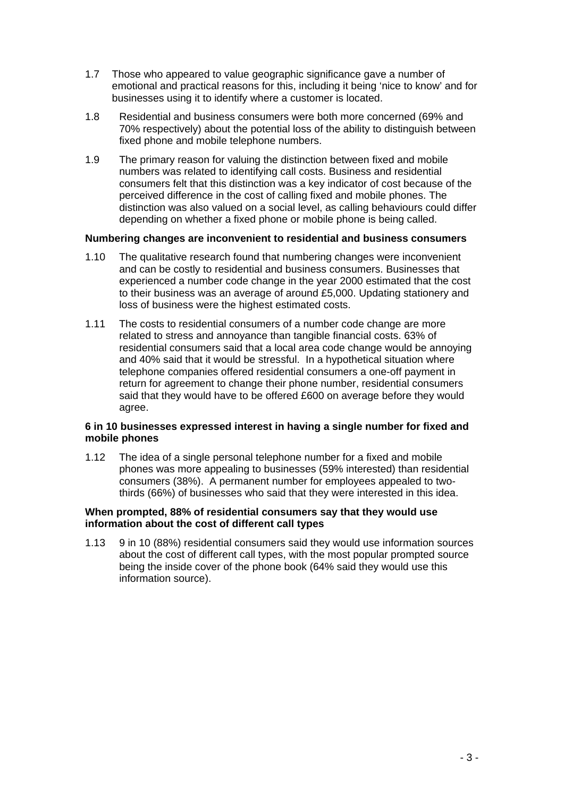- 1.7 Those who appeared to value geographic significance gave a number of emotional and practical reasons for this, including it being 'nice to know' and for businesses using it to identify where a customer is located.
- 1.8 Residential and business consumers were both more concerned (69% and 70% respectively) about the potential loss of the ability to distinguish between fixed phone and mobile telephone numbers.
- 1.9 The primary reason for valuing the distinction between fixed and mobile numbers was related to identifying call costs. Business and residential consumers felt that this distinction was a key indicator of cost because of the perceived difference in the cost of calling fixed and mobile phones. The distinction was also valued on a social level, as calling behaviours could differ depending on whether a fixed phone or mobile phone is being called.

#### **Numbering changes are inconvenient to residential and business consumers**

- 1.10 The qualitative research found that numbering changes were inconvenient and can be costly to residential and business consumers. Businesses that experienced a number code change in the year 2000 estimated that the cost to their business was an average of around £5,000. Updating stationery and loss of business were the highest estimated costs.
- 1.11 The costs to residential consumers of a number code change are more related to stress and annoyance than tangible financial costs. 63% of residential consumers said that a local area code change would be annoying and 40% said that it would be stressful. In a hypothetical situation where telephone companies offered residential consumers a one-off payment in return for agreement to change their phone number, residential consumers said that they would have to be offered £600 on average before they would agree.

### **6 in 10 businesses expressed interest in having a single number for fixed and mobile phones**

1.12 The idea of a single personal telephone number for a fixed and mobile phones was more appealing to businesses (59% interested) than residential consumers (38%). A permanent number for employees appealed to twothirds (66%) of businesses who said that they were interested in this idea.

#### **When prompted, 88% of residential consumers say that they would use information about the cost of different call types**

1.13 9 in 10 (88%) residential consumers said they would use information sources about the cost of different call types, with the most popular prompted source being the inside cover of the phone book (64% said they would use this information source).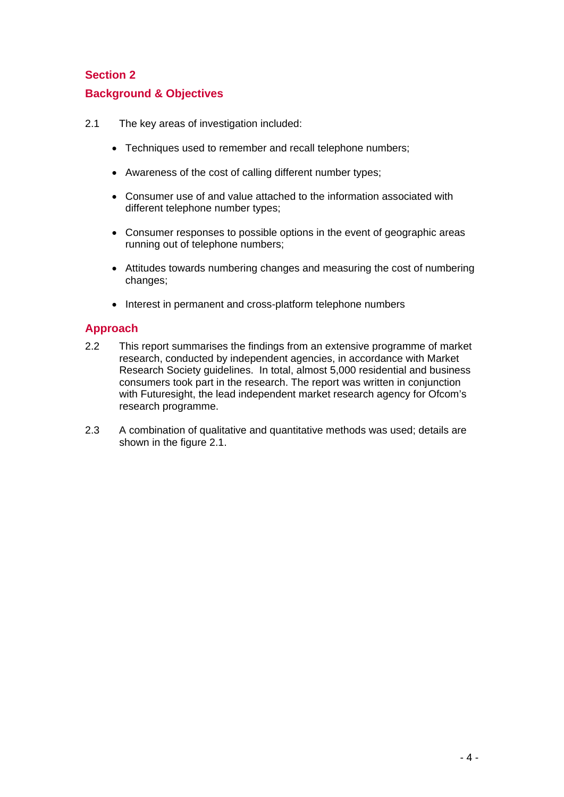# **Section 2 Background & Objectives**

- 2.1 The key areas of investigation included:
	- Techniques used to remember and recall telephone numbers;
	- Awareness of the cost of calling different number types;
	- Consumer use of and value attached to the information associated with different telephone number types;
	- Consumer responses to possible options in the event of geographic areas running out of telephone numbers;
	- Attitudes towards numbering changes and measuring the cost of numbering changes;
	- Interest in permanent and cross-platform telephone numbers

## **Approach**

- 2.2 This report summarises the findings from an extensive programme of market research, conducted by independent agencies, in accordance with Market Research Society guidelines. In total, almost 5,000 residential and business consumers took part in the research. The report was written in conjunction with Futuresight, the lead independent market research agency for Ofcom's research programme.
- 2.3 A combination of qualitative and quantitative methods was used; details are shown in the figure 2.1.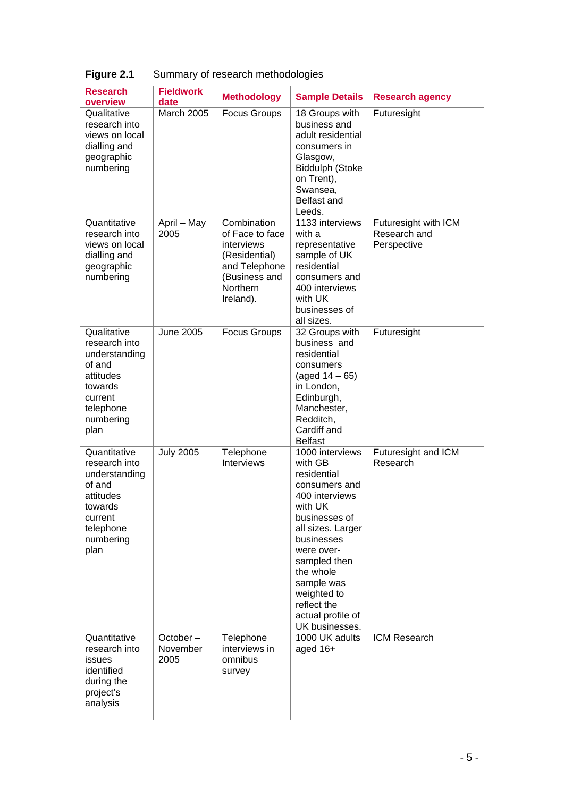| Qualitative<br><b>March 2005</b><br><b>Focus Groups</b><br>18 Groups with<br>Futuresight<br>research into<br>business and<br>views on local<br>adult residential<br>dialling and<br>consumers in<br>geographic<br>Glasgow,<br>Biddulph (Stoke<br>numbering<br>on Trent),<br>Swansea,<br>Belfast and<br>Leeds.<br>Combination<br>Quantitative<br>April - May<br>1133 interviews<br>Futuresight with ICM<br>2005<br>Research and<br>research into<br>of Face to face<br>with a<br>views on local<br>Perspective<br>interviews<br>representative<br>sample of UK<br>(Residential)<br>dialling and<br>residential |  |
|---------------------------------------------------------------------------------------------------------------------------------------------------------------------------------------------------------------------------------------------------------------------------------------------------------------------------------------------------------------------------------------------------------------------------------------------------------------------------------------------------------------------------------------------------------------------------------------------------------------|--|
|                                                                                                                                                                                                                                                                                                                                                                                                                                                                                                                                                                                                               |  |
| geographic<br>and Telephone<br>numbering<br>(Business and<br>consumers and<br>Northern<br>400 interviews<br>Ireland).<br>with UK<br>businesses of<br>all sizes.                                                                                                                                                                                                                                                                                                                                                                                                                                               |  |
| Qualitative<br><b>June 2005</b><br>Futuresight<br><b>Focus Groups</b><br>32 Groups with<br>research into<br>business and<br>understanding<br>residential<br>of and<br>consumers<br>attitudes<br>(aged $14 - 65$ )<br>in London,<br>towards<br>Edinburgh,<br>current<br>Manchester,<br>telephone<br>Redditch,<br>numbering<br>Cardiff and<br>plan<br><b>Belfast</b>                                                                                                                                                                                                                                            |  |
| Quantitative<br><b>July 2005</b><br>Telephone<br>1000 interviews<br>Futuresight and ICM<br>research into<br><b>Interviews</b><br>with GB<br>Research<br>residential<br>understanding<br>of and<br>consumers and<br>attitudes<br>400 interviews<br>with UK<br>towards<br>businesses of<br>current<br>telephone<br>all sizes. Larger<br>numbering<br>businesses<br>plan<br>were over-<br>sampled then<br>the whole<br>sample was<br>weighted to<br>reflect the<br>actual profile of<br>UK businesses.                                                                                                           |  |
| Quantitative<br>October-<br>1000 UK adults<br>ICM Research<br>Telephone<br>interviews in<br>research into<br>November<br>aged 16+<br>2005<br>omnibus<br>issues<br>identified<br>survey<br>during the<br>project's<br>analysis                                                                                                                                                                                                                                                                                                                                                                                 |  |

# **Figure 2.1** Summary of research methodologies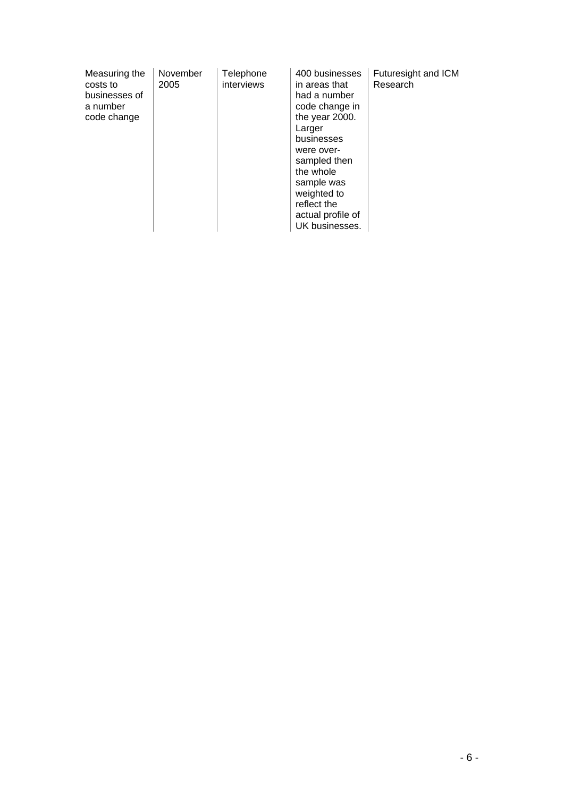| Measuring the<br>costs to<br>businesses of<br>a number<br>code change | November<br>2005 | Telephone<br>interviews | 400 businesses<br>in areas that<br>had a number<br>code change in<br>the year 2000.<br>Larger<br>businesses<br>were over-<br>sampled then<br>the whole<br>sample was<br>weighted to<br>reflect the<br>actual profile of | Futuresight and ICM<br>Research |
|-----------------------------------------------------------------------|------------------|-------------------------|-------------------------------------------------------------------------------------------------------------------------------------------------------------------------------------------------------------------------|---------------------------------|
|                                                                       |                  |                         | UK businesses.                                                                                                                                                                                                          |                                 |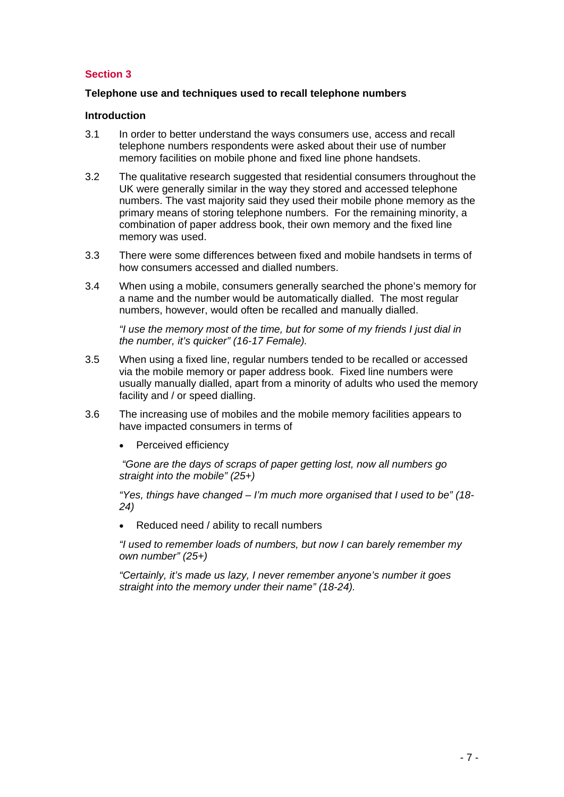## **Section 3**

#### **Telephone use and techniques used to recall telephone numbers**

#### **Introduction**

- 3.1 In order to better understand the ways consumers use, access and recall telephone numbers respondents were asked about their use of number memory facilities on mobile phone and fixed line phone handsets.
- 3.2 The qualitative research suggested that residential consumers throughout the UK were generally similar in the way they stored and accessed telephone numbers. The vast majority said they used their mobile phone memory as the primary means of storing telephone numbers. For the remaining minority, a combination of paper address book, their own memory and the fixed line memory was used.
- 3.3 There were some differences between fixed and mobile handsets in terms of how consumers accessed and dialled numbers.
- 3.4 When using a mobile, consumers generally searched the phone's memory for a name and the number would be automatically dialled. The most regular numbers, however, would often be recalled and manually dialled.

*"I use the memory most of the time, but for some of my friends I just dial in the number, it's quicker" (16-17 Female).* 

- 3.5 When using a fixed line, regular numbers tended to be recalled or accessed via the mobile memory or paper address book. Fixed line numbers were usually manually dialled, apart from a minority of adults who used the memory facility and / or speed dialling.
- 3.6 The increasing use of mobiles and the mobile memory facilities appears to have impacted consumers in terms of
	- Perceived efficiency

 *"Gone are the days of scraps of paper getting lost, now all numbers go straight into the mobile" (25+)*

*"Yes, things have changed – I'm much more organised that I used to be" (18- 24)* 

• Reduced need / ability to recall numbers

*"I used to remember loads of numbers, but now I can barely remember my own number" (25+)* 

*"Certainly, it's made us lazy, I never remember anyone's number it goes straight into the memory under their name" (18-24).*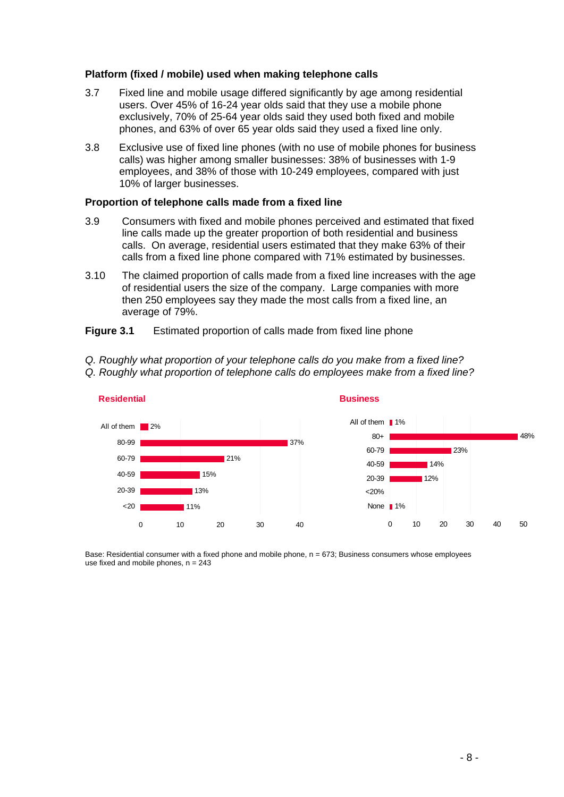#### **Platform (fixed / mobile) used when making telephone calls**

- 3.7 Fixed line and mobile usage differed significantly by age among residential users. Over 45% of 16-24 year olds said that they use a mobile phone exclusively, 70% of 25-64 year olds said they used both fixed and mobile phones, and 63% of over 65 year olds said they used a fixed line only.
- 3.8 Exclusive use of fixed line phones (with no use of mobile phones for business calls) was higher among smaller businesses: 38% of businesses with 1-9 employees, and 38% of those with 10-249 employees, compared with just 10% of larger businesses.

#### **Proportion of telephone calls made from a fixed line**

- 3.9 Consumers with fixed and mobile phones perceived and estimated that fixed line calls made up the greater proportion of both residential and business calls. On average, residential users estimated that they make 63% of their calls from a fixed line phone compared with 71% estimated by businesses.
- 3.10 The claimed proportion of calls made from a fixed line increases with the age of residential users the size of the company. Large companies with more then 250 employees say they made the most calls from a fixed line, an average of 79%.
- **Figure 3.1** Estimated proportion of calls made from fixed line phone
- *Q. Roughly what proportion of your telephone calls do you make from a fixed line?*
- *Q. Roughly what proportion of telephone calls do employees make from a fixed line?*



Base: Residential consumer with a fixed phone and mobile phone, n = 673; Business consumers whose employees use fixed and mobile phones,  $n = 243$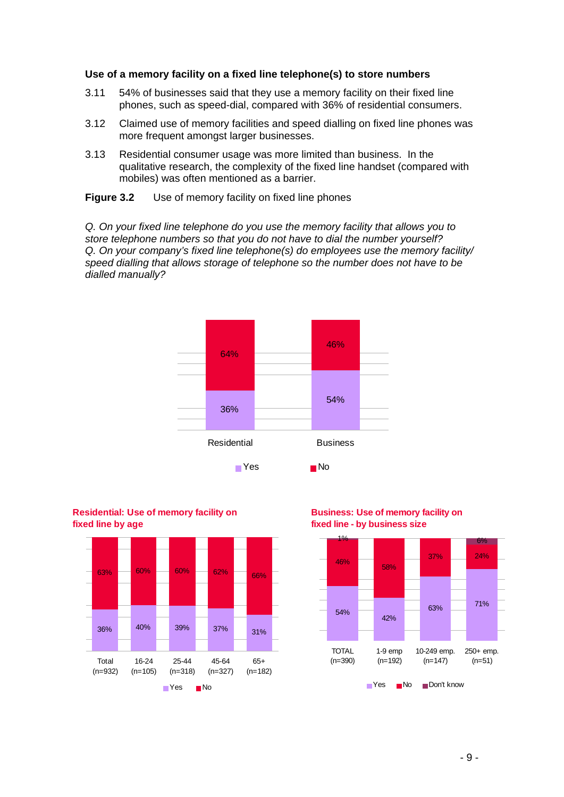#### **Use of a memory facility on a fixed line telephone(s) to store numbers**

- 3.11 54% of businesses said that they use a memory facility on their fixed line phones, such as speed-dial, compared with 36% of residential consumers.
- 3.12 Claimed use of memory facilities and speed dialling on fixed line phones was more frequent amongst larger businesses.
- 3.13 Residential consumer usage was more limited than business. In the qualitative research, the complexity of the fixed line handset (compared with mobiles) was often mentioned as a barrier.

**Figure 3.2** Use of memory facility on fixed line phones

*Q. On your fixed line telephone do you use the memory facility that allows you to store telephone numbers so that you do not have to dial the number yourself? Q. On your company's fixed line telephone(s) do employees use the memory facility/ speed dialling that allows storage of telephone so the number does not have to be dialled manually?* 





**Business: Use of memory facility on fixed line - by business size**

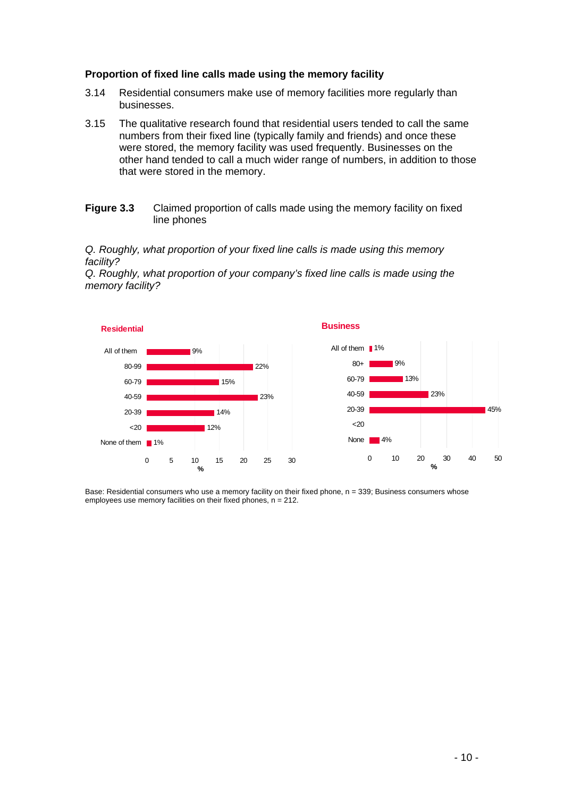#### **Proportion of fixed line calls made using the memory facility**

- 3.14 Residential consumers make use of memory facilities more regularly than businesses.
- 3.15 The qualitative research found that residential users tended to call the same numbers from their fixed line (typically family and friends) and once these were stored, the memory facility was used frequently. Businesses on the other hand tended to call a much wider range of numbers, in addition to those that were stored in the memory.
- **Figure 3.3** Claimed proportion of calls made using the memory facility on fixed line phones

#### *Q. Roughly, what proportion of your fixed line calls is made using this memory facility?*

*Q. Roughly, what proportion of your company's fixed line calls is made using the memory facility?* 



Base: Residential consumers who use a memory facility on their fixed phone, n = 339; Business consumers whose employees use memory facilities on their fixed phones, n = 212.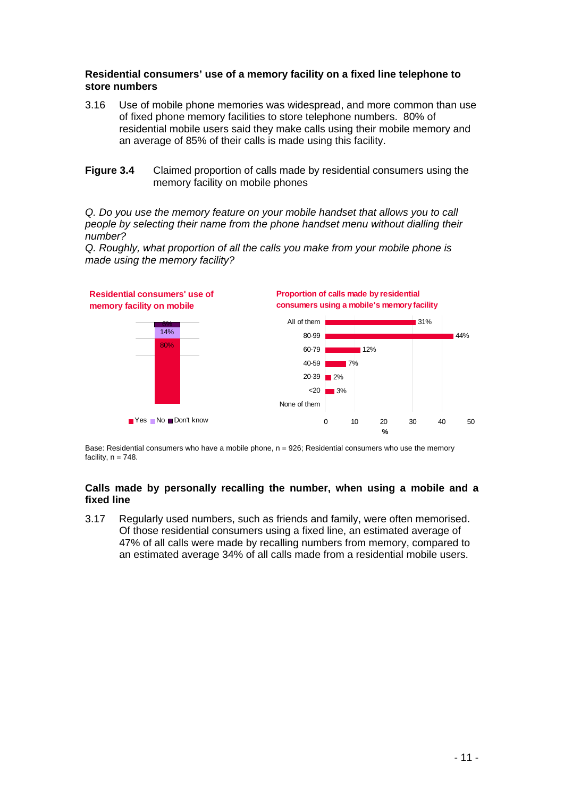### **Residential consumers' use of a memory facility on a fixed line telephone to store numbers**

- 3.16 Use of mobile phone memories was widespread, and more common than use of fixed phone memory facilities to store telephone numbers. 80% of residential mobile users said they make calls using their mobile memory and an average of 85% of their calls is made using this facility.
- **Figure 3.4** Claimed proportion of calls made by residential consumers using the memory facility on mobile phones

*Q. Do you use the memory feature on your mobile handset that allows you to call people by selecting their name from the phone handset menu without dialling their number?* 



*Q. Roughly, what proportion of all the calls you make from your mobile phone is made using the memory facility?* 

Base: Residential consumers who have a mobile phone, n = 926; Residential consumers who use the memory facility,  $n = 748$ .

#### **Calls made by personally recalling the number, when using a mobile and a fixed line**

3.17 Regularly used numbers, such as friends and family, were often memorised. Of those residential consumers using a fixed line, an estimated average of 47% of all calls were made by recalling numbers from memory, compared to an estimated average 34% of all calls made from a residential mobile users.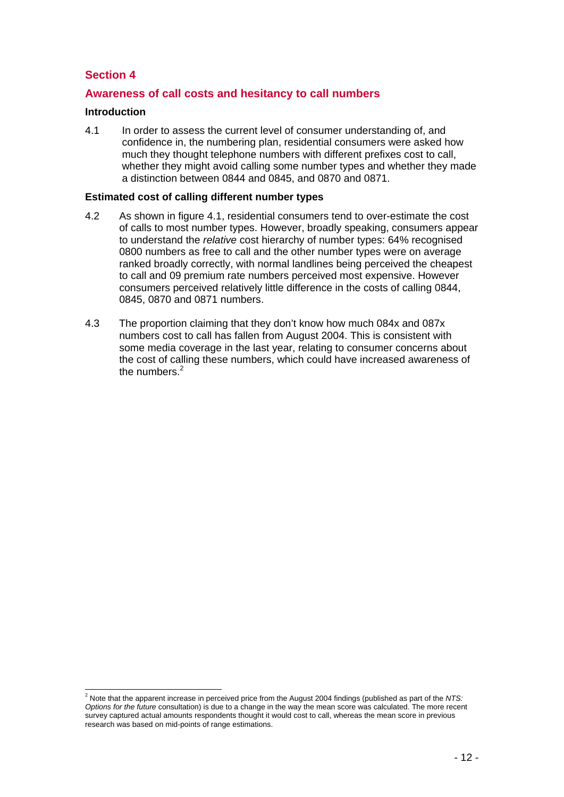## **Section 4**

## **Awareness of call costs and hesitancy to call numbers**

#### **Introduction**

4.1 In order to assess the current level of consumer understanding of, and confidence in, the numbering plan, residential consumers were asked how much they thought telephone numbers with different prefixes cost to call, whether they might avoid calling some number types and whether they made a distinction between 0844 and 0845, and 0870 and 0871.

#### **Estimated cost of calling different number types**

- 4.2 As shown in figure 4.1, residential consumers tend to over-estimate the cost of calls to most number types. However, broadly speaking, consumers appear to understand the *relative* cost hierarchy of number types: 64% recognised 0800 numbers as free to call and the other number types were on average ranked broadly correctly, with normal landlines being perceived the cheapest to call and 09 premium rate numbers perceived most expensive. However consumers perceived relatively little difference in the costs of calling 0844, 0845, 0870 and 0871 numbers.
- 4.3 The proportion claiming that they don't know how much 084x and 087x numbers cost to call has fallen from August 2004. This is consistent with some media coverage in the last year, relating to consumer concerns about the cost of calling these numbers, which could have increased awareness of the numbers.<sup>2</sup>

 2 Note that the apparent increase in perceived price from the August 2004 findings (published as part of the *NTS: Options for the future* consultation) is due to a change in the way the mean score was calculated. The more recent survey captured actual amounts respondents thought it would cost to call, whereas the mean score in previous research was based on mid-points of range estimations.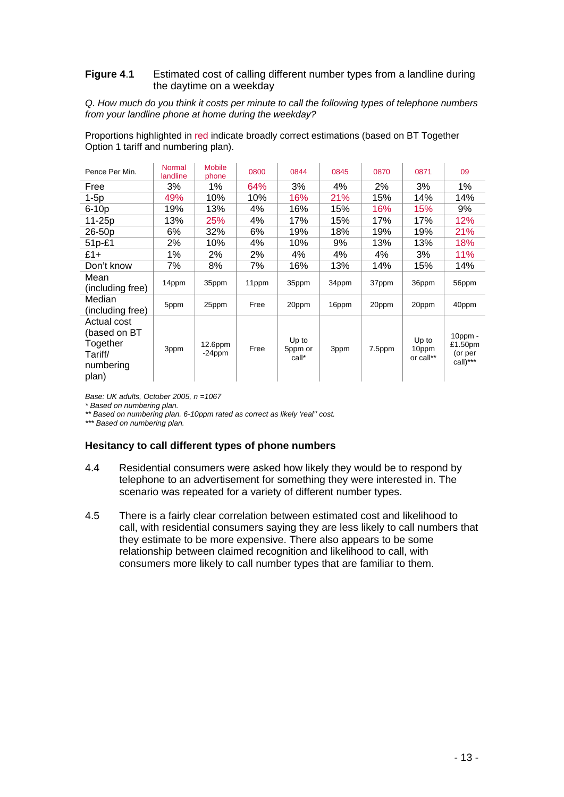#### **Figure 4**.**1** Estimated cost of calling different number types from a landline during the daytime on a weekday

*Q. How much do you think it costs per minute to call the following types of telephone numbers from your landline phone at home during the weekday?* 

Proportions highlighted in red indicate broadly correct estimations (based on BT Together Option 1 tariff and numbering plan).

| Pence Per Min.                                                           | <b>Normal</b><br>landline | <b>Mobile</b><br>phone  | 0800  | 0844                      | 0845  | 0870   | 0871                        | 09                                           |
|--------------------------------------------------------------------------|---------------------------|-------------------------|-------|---------------------------|-------|--------|-----------------------------|----------------------------------------------|
| Free                                                                     | 3%                        | 1%                      | 64%   | 3%                        | 4%    | 2%     | 3%                          | 1%                                           |
| $1-5p$                                                                   | 49%                       | 10%                     | 10%   | 16%                       | 21%   | 15%    | 14%                         | 14%                                          |
| $6-10p$                                                                  | 19%                       | 13%                     | 4%    | 16%                       | 15%   | 16%    | 15%                         | 9%                                           |
| 11-25p                                                                   | 13%                       | 25%                     | 4%    | 17%                       | 15%   | 17%    | 17%                         | 12%                                          |
| 26-50p                                                                   | 6%                        | 32%                     | 6%    | 19%                       | 18%   | 19%    | 19%                         | 21%                                          |
| 51p-£1                                                                   | 2%                        | 10%                     | 4%    | 10%                       | 9%    | 13%    | 13%                         | 18%                                          |
| £1+                                                                      | 1%                        | 2%                      | 2%    | 4%                        | 4%    | 4%     | 3%                          | 11%                                          |
| Don't know                                                               | 7%                        | 8%                      | 7%    | 16%                       | 13%   | 14%    | 15%                         | 14%                                          |
| Mean<br>(including free)                                                 | 14ppm                     | 35ppm                   | 11ppm | 35ppm                     | 34ppm | 37ppm  | 36ppm                       | 56ppm                                        |
| Median<br>(including free)                                               | 5ppm                      | 25ppm                   | Free  | 20ppm                     | 16ppm | 20ppm  | 20ppm                       | 40ppm                                        |
| Actual cost<br>(based on BT<br>Together<br>Tariff/<br>numbering<br>plan) | 3ppm                      | $12.6$ ppm<br>$-24$ ppm | Free  | Up to<br>5ppm or<br>call* | 3ppm  | 7.5ppm | Up to<br>10ppm<br>or call** | $10$ ppm -<br>£1.50pm<br>(or per<br>call)*** |

*Base: UK adults, October 2005, n =1067* 

*\* Based on numbering plan.* 

*\*\* Based on numbering plan. 6-10ppm rated as correct as likely 'real'' cost.* 

*\*\*\* Based on numbering plan.* 

#### **Hesitancy to call different types of phone numbers**

- 4.4 Residential consumers were asked how likely they would be to respond by telephone to an advertisement for something they were interested in. The scenario was repeated for a variety of different number types.
- 4.5 There is a fairly clear correlation between estimated cost and likelihood to call, with residential consumers saying they are less likely to call numbers that they estimate to be more expensive. There also appears to be some relationship between claimed recognition and likelihood to call, with consumers more likely to call number types that are familiar to them.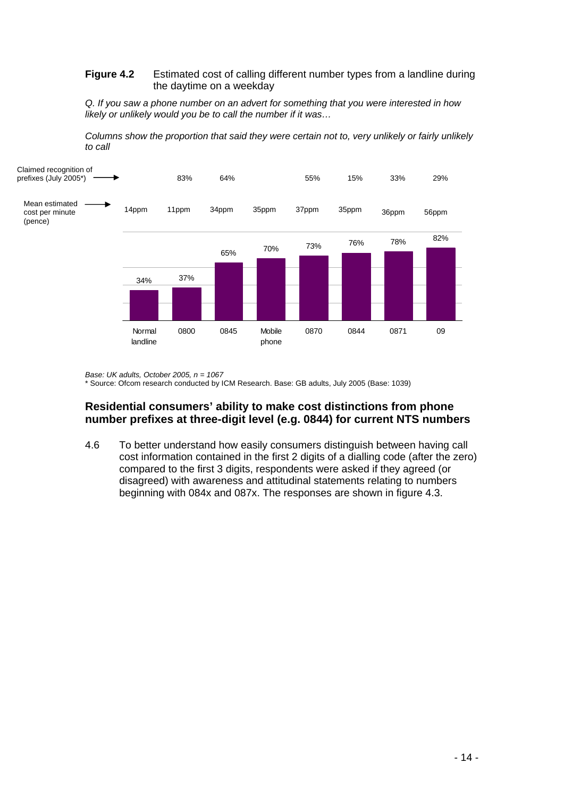#### **Figure 4.2** Estimated cost of calling different number types from a landline during the daytime on a weekday

*Q. If you saw a phone number on an advert for something that you were interested in how likely or unlikely would you be to call the number if it was…* 





*Base: UK adults, October 2005, n = 1067*  \* Source: Ofcom research conducted by ICM Research. Base: GB adults, July 2005 (Base: 1039)

## **Residential consumers' ability to make cost distinctions from phone number prefixes at three-digit level (e.g. 0844) for current NTS numbers**

4.6 To better understand how easily consumers distinguish between having call cost information contained in the first 2 digits of a dialling code (after the zero) compared to the first 3 digits, respondents were asked if they agreed (or disagreed) with awareness and attitudinal statements relating to numbers beginning with 084x and 087x. The responses are shown in figure 4.3.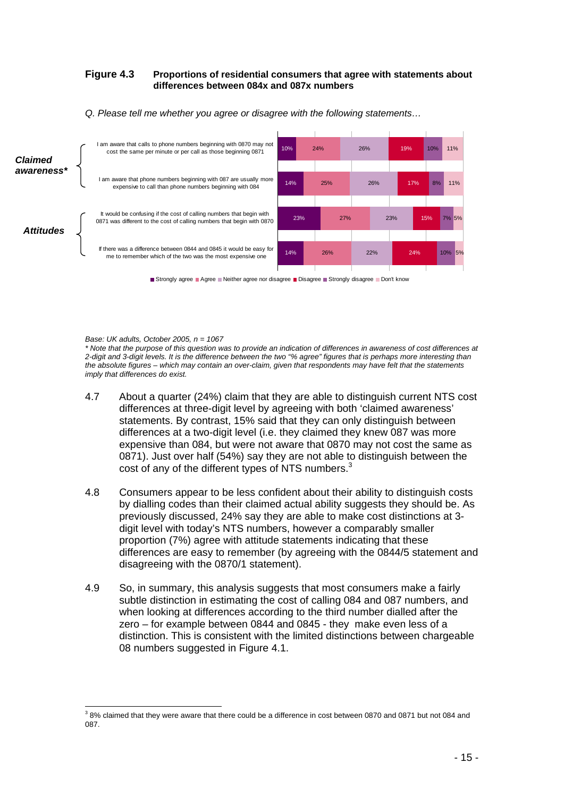#### **Figure 4.3 Proportions of residential consumers that agree with statements about differences between 084x and 087x numbers**



*Q. Please tell me whether you agree or disagree with the following statements…* 

*Base: UK adults, October 2005, n = 1067* 

*\* Note that the purpose of this question was to provide an indication of differences in awareness of cost differences at 2-digit and 3-digit levels. It is the difference between the two "% agree" figures that is perhaps more interesting than the absolute figures – which may contain an over-claim, given that respondents may have felt that the statements imply that differences do exist.* 

- 4.7 About a quarter (24%) claim that they are able to distinguish current NTS cost differences at three-digit level by agreeing with both 'claimed awareness' statements. By contrast, 15% said that they can only distinguish between differences at a two-digit level (i.e. they claimed they knew 087 was more expensive than 084, but were not aware that 0870 may not cost the same as 0871). Just over half (54%) say they are not able to distinguish between the cost of any of the different types of NTS numbers. $3$
- 4.8 Consumers appear to be less confident about their ability to distinguish costs by dialling codes than their claimed actual ability suggests they should be. As previously discussed, 24% say they are able to make cost distinctions at 3 digit level with today's NTS numbers, however a comparably smaller proportion (7%) agree with attitude statements indicating that these differences are easy to remember (by agreeing with the 0844/5 statement and disagreeing with the 0870/1 statement).
- 4.9 So, in summary, this analysis suggests that most consumers make a fairly subtle distinction in estimating the cost of calling 084 and 087 numbers, and when looking at differences according to the third number dialled after the zero – for example between 0844 and 0845 - they make even less of a distinction. This is consistent with the limited distinctions between chargeable 08 numbers suggested in Figure 4.1.

 3 8% claimed that they were aware that there could be a difference in cost between 0870 and 0871 but not 084 and 087.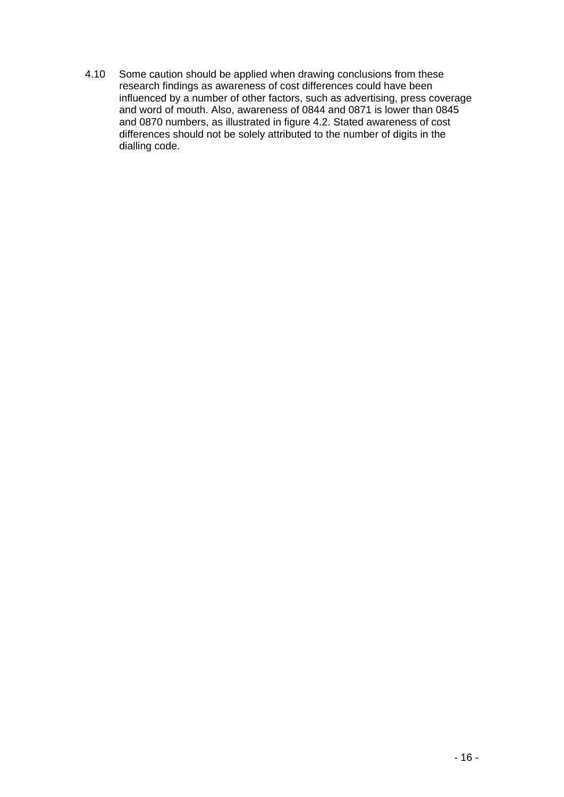4.10 Some caution should be applied when drawing conclusions from these research findings as awareness of cost differences could have been influenced by a number of other factors, such as advertising, press coverage and word of mouth. Also, awareness of 0844 and 0871 is lower than 0845 and 0870 numbers, as illustrated in figure 4.2. Stated awareness of cost differences should not be solely attributed to the number of digits in the dialling code.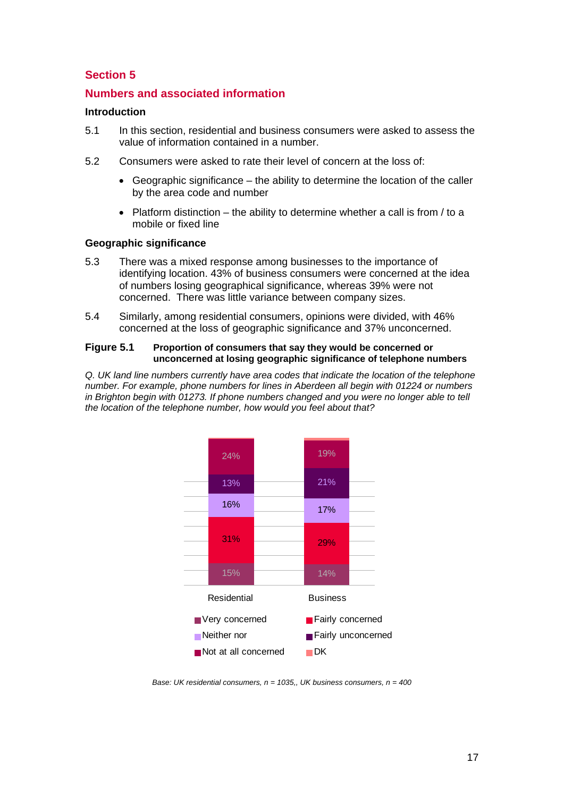## **Section 5**

## **Numbers and associated information**

#### **Introduction**

- 5.1 In this section, residential and business consumers were asked to assess the value of information contained in a number.
- 5.2 Consumers were asked to rate their level of concern at the loss of:
	- Geographic significance the ability to determine the location of the caller by the area code and number
	- Platform distinction the ability to determine whether a call is from / to a mobile or fixed line

#### **Geographic significance**

- 5.3 There was a mixed response among businesses to the importance of identifying location. 43% of business consumers were concerned at the idea of numbers losing geographical significance, whereas 39% were not concerned. There was little variance between company sizes.
- 5.4 Similarly, among residential consumers, opinions were divided, with 46% concerned at the loss of geographic significance and 37% unconcerned.

#### **Figure 5.1 Proportion of consumers that say they would be concerned or unconcerned at losing geographic significance of telephone numbers**

*Q. UK land line numbers currently have area codes that indicate the location of the telephone number. For example, phone numbers for lines in Aberdeen all begin with 01224 or numbers in Brighton begin with 01273. If phone numbers changed and you were no longer able to tell the location of the telephone number, how would you feel about that?*



*Base: UK residential consumers, n = 1035,, UK business consumers, n = 400*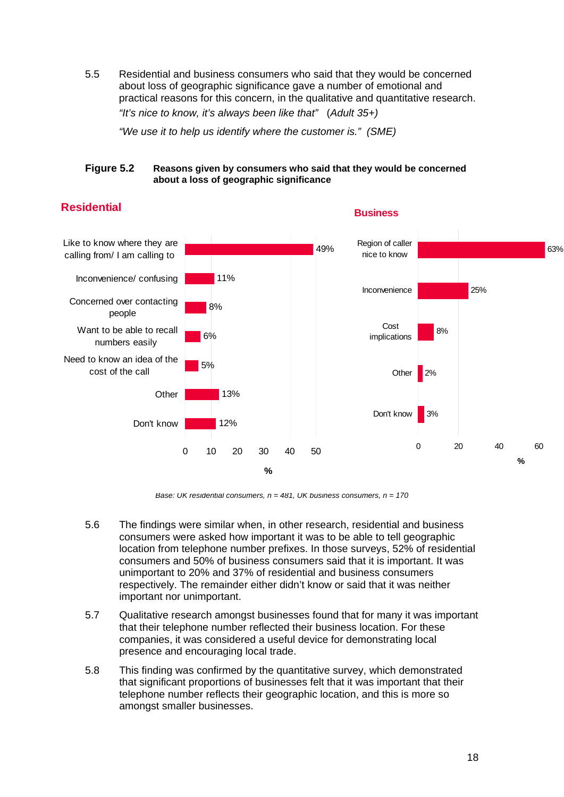5.5 Residential and business consumers who said that they would be concerned about loss of geographic significance gave a number of emotional and practical reasons for this concern, in the qualitative and quantitative research. *"It's nice to know, it's always been like that"* (*Adult 35+)*

*"We use it to help us identify where the customer is." (SME)* 

#### **Figure 5.2 Reasons given by consumers who said that they would be concerned about a loss of geographic significance**



## **Residential**

*Base: UK residential consumers, n = 481, UK business consumers, n = 170* 

- 5.6 The findings were similar when, in other research, residential and business consumers were asked how important it was to be able to tell geographic location from telephone number prefixes. In those surveys, 52% of residential consumers and 50% of business consumers said that it is important. It was unimportant to 20% and 37% of residential and business consumers respectively. The remainder either didn't know or said that it was neither important nor unimportant.
- 5.7 Qualitative research amongst businesses found that for many it was important that their telephone number reflected their business location. For these companies, it was considered a useful device for demonstrating local presence and encouraging local trade.
- 5.8 This finding was confirmed by the quantitative survey, which demonstrated that significant proportions of businesses felt that it was important that their telephone number reflects their geographic location, and this is more so amongst smaller businesses.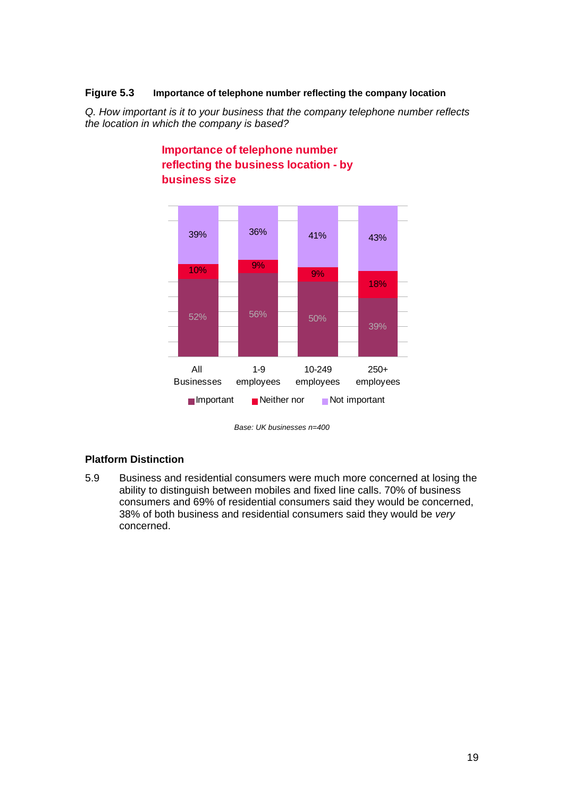### **Figure 5.3 Importance of telephone number reflecting the company location**

*Q. How important is it to your business that the company telephone number reflects the location in which the company is based?* 



## **Importance of telephone number reflecting the business location - by business size**

*Base: UK businesses n=400* 

### **Platform Distinction**

5.9 Business and residential consumers were much more concerned at losing the ability to distinguish between mobiles and fixed line calls. 70% of business consumers and 69% of residential consumers said they would be concerned, 38% of both business and residential consumers said they would be *very* concerned.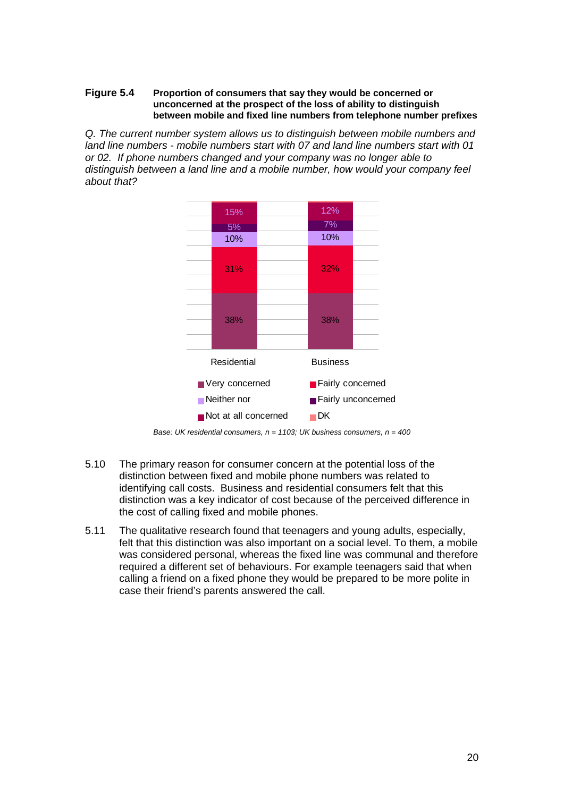#### **Figure 5.4 Proportion of consumers that say they would be concerned or unconcerned at the prospect of the loss of ability to distinguish between mobile and fixed line numbers from telephone number prefixes**

*Q. The current number system allows us to distinguish between mobile numbers and land line numbers - mobile numbers start with 07 and land line numbers start with 01 or 02. If phone numbers changed and your company was no longer able to distinguish between a land line and a mobile number, how would your company feel about that?* 



*Base: UK residential consumers, n = 1103; UK business consumers, n = 400* 

- 5.10 The primary reason for consumer concern at the potential loss of the distinction between fixed and mobile phone numbers was related to identifying call costs. Business and residential consumers felt that this distinction was a key indicator of cost because of the perceived difference in the cost of calling fixed and mobile phones.
- 5.11 The qualitative research found that teenagers and young adults, especially, felt that this distinction was also important on a social level. To them, a mobile was considered personal, whereas the fixed line was communal and therefore required a different set of behaviours. For example teenagers said that when calling a friend on a fixed phone they would be prepared to be more polite in case their friend's parents answered the call.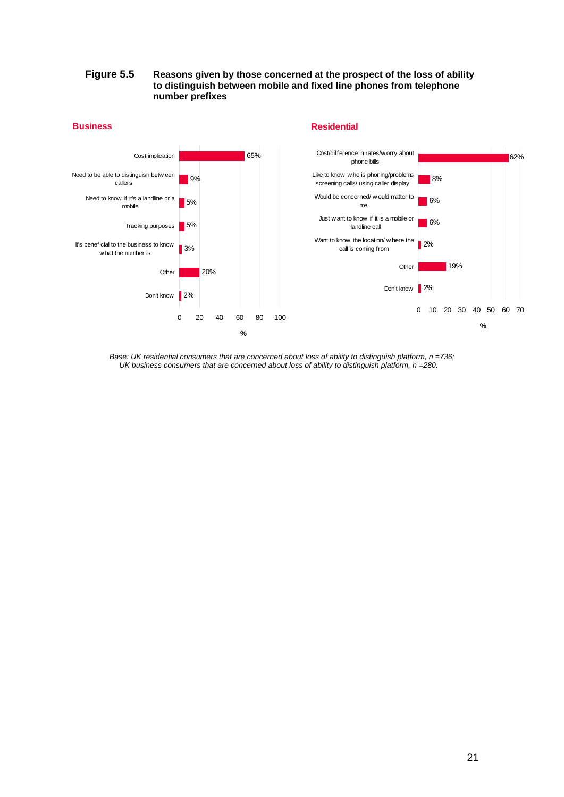#### **Figure 5.5 Reasons given by those concerned at the prospect of the loss of ability to distinguish between mobile and fixed line phones from telephone number prefixes**



*Base: UK residential consumers that are concerned about loss of ability to distinguish platform, n =736; UK business consumers that are concerned about loss of ability to distinguish platform, n =280.* 

21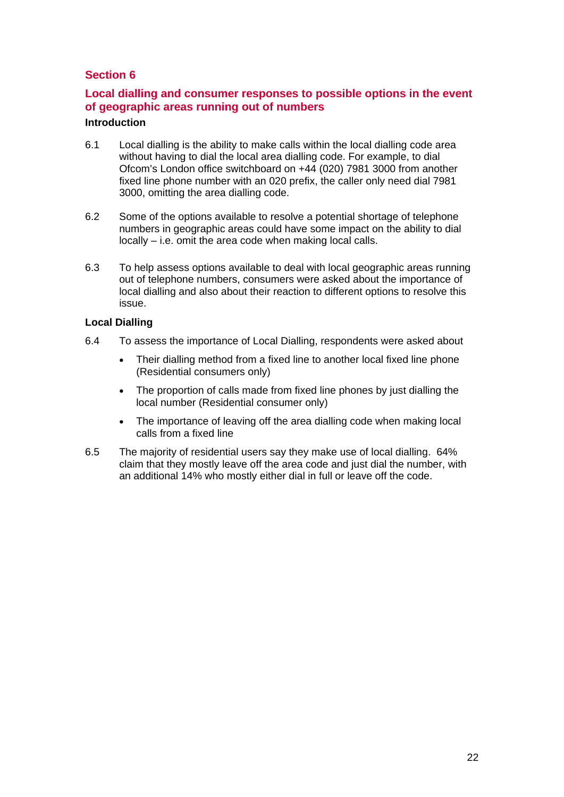## **Section 6**

## **Local dialling and consumer responses to possible options in the event of geographic areas running out of numbers**

## **Introduction**

- 6.1 Local dialling is the ability to make calls within the local dialling code area without having to dial the local area dialling code. For example, to dial Ofcom's London office switchboard on +44 (020) 7981 3000 from another fixed line phone number with an 020 prefix, the caller only need dial 7981 3000, omitting the area dialling code.
- 6.2 Some of the options available to resolve a potential shortage of telephone numbers in geographic areas could have some impact on the ability to dial locally – i.e. omit the area code when making local calls.
- 6.3 To help assess options available to deal with local geographic areas running out of telephone numbers, consumers were asked about the importance of local dialling and also about their reaction to different options to resolve this issue.

## **Local Dialling**

- 6.4 To assess the importance of Local Dialling, respondents were asked about
	- Their dialling method from a fixed line to another local fixed line phone (Residential consumers only)
	- The proportion of calls made from fixed line phones by just dialling the local number (Residential consumer only)
	- The importance of leaving off the area dialling code when making local calls from a fixed line
- 6.5 The majority of residential users say they make use of local dialling. 64% claim that they mostly leave off the area code and just dial the number, with an additional 14% who mostly either dial in full or leave off the code.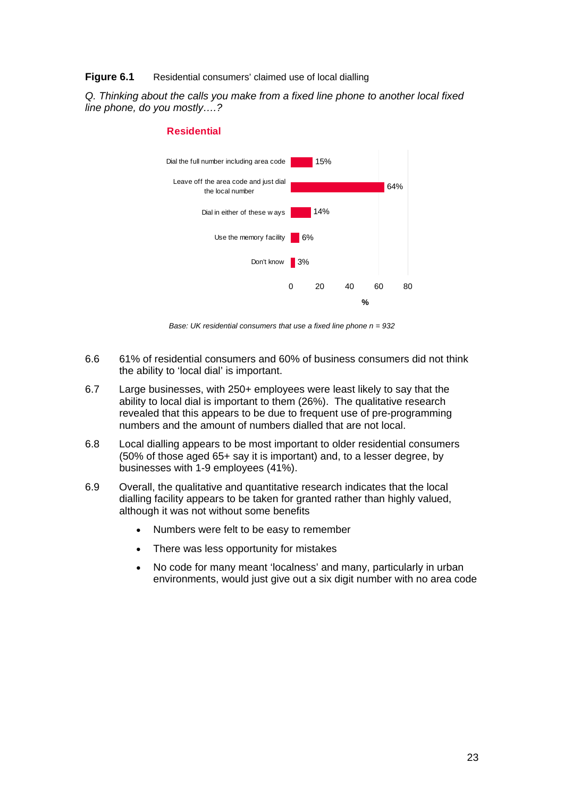#### **Figure 6.1** Residential consumers' claimed use of local dialling

*Q. Thinking about the calls you make from a fixed line phone to another local fixed line phone, do you mostly….?* 



#### **Residential**

*Base: UK residential consumers that use a fixed line phone n = 932* 

- 6.6 61% of residential consumers and 60% of business consumers did not think the ability to 'local dial' is important.
- 6.7 Large businesses, with 250+ employees were least likely to say that the ability to local dial is important to them (26%). The qualitative research revealed that this appears to be due to frequent use of pre-programming numbers and the amount of numbers dialled that are not local.
- 6.8 Local dialling appears to be most important to older residential consumers (50% of those aged 65+ say it is important) and, to a lesser degree, by businesses with 1-9 employees (41%).
- 6.9 Overall, the qualitative and quantitative research indicates that the local dialling facility appears to be taken for granted rather than highly valued, although it was not without some benefits
	- Numbers were felt to be easy to remember
	- There was less opportunity for mistakes
	- No code for many meant 'localness' and many, particularly in urban environments, would just give out a six digit number with no area code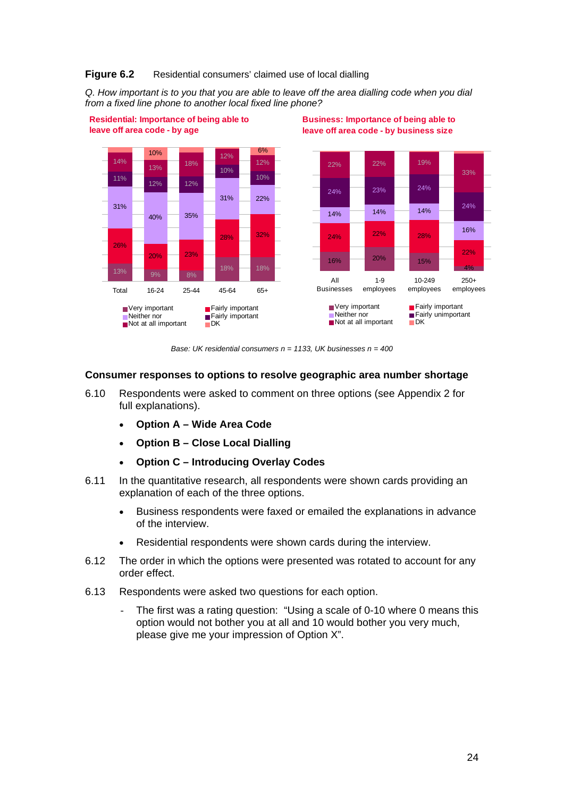#### **Figure 6.2** Residential consumers' claimed use of local dialling

*Q. How important is to you that you are able to leave off the area dialling code when you dial from a fixed line phone to another local fixed line phone?* 



*Base: UK residential consumers n = 1133, UK businesses n = 400* 

#### **Consumer responses to options to resolve geographic area number shortage**

- 6.10 Respondents were asked to comment on three options (see Appendix 2 for full explanations).
	- **Option A Wide Area Code**
	- **Option B Close Local Dialling**
	- **Option C Introducing Overlay Codes**
- 6.11 In the quantitative research, all respondents were shown cards providing an explanation of each of the three options.
	- Business respondents were faxed or emailed the explanations in advance of the interview.
	- Residential respondents were shown cards during the interview.
- 6.12 The order in which the options were presented was rotated to account for any order effect.
- 6.13 Respondents were asked two questions for each option.
	- The first was a rating question: "Using a scale of 0-10 where 0 means this option would not bother you at all and 10 would bother you very much, please give me your impression of Option X".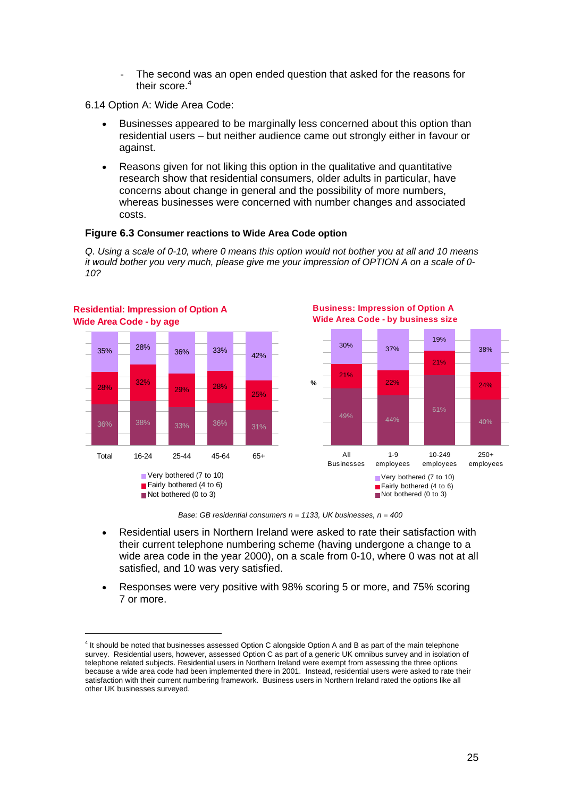- The second was an open ended question that asked for the reasons for their score.<sup>4</sup>
- 6.14 Option A: Wide Area Code:

- Businesses appeared to be marginally less concerned about this option than residential users – but neither audience came out strongly either in favour or against.
- Reasons given for not liking this option in the qualitative and quantitative research show that residential consumers, older adults in particular, have concerns about change in general and the possibility of more numbers, whereas businesses were concerned with number changes and associated costs.

#### **Figure 6.3 Consumer reactions to Wide Area Code option**

*Q. Using a scale of 0-10, where 0 means this option would not bother you at all and 10 means it would bother you very much, please give me your impression of OPTION A on a scale of 0- 10?* 



*Base: GB residential consumers n = 1133, UK businesses, n = 400* 

- Residential users in Northern Ireland were asked to rate their satisfaction with their current telephone numbering scheme (having undergone a change to a wide area code in the year 2000), on a scale from 0-10, where 0 was not at all satisfied, and 10 was very satisfied.
- Responses were very positive with 98% scoring 5 or more, and 75% scoring 7 or more.

<sup>&</sup>lt;sup>4</sup> It should be noted that businesses assessed Option C alongside Option A and B as part of the main telephone survey. Residential users, however, assessed Option C as part of a generic UK omnibus survey and in isolation of telephone related subjects. Residential users in Northern Ireland were exempt from assessing the three options because a wide area code had been implemented there in 2001. Instead, residential users were asked to rate their satisfaction with their current numbering framework. Business users in Northern Ireland rated the options like all other UK businesses surveyed.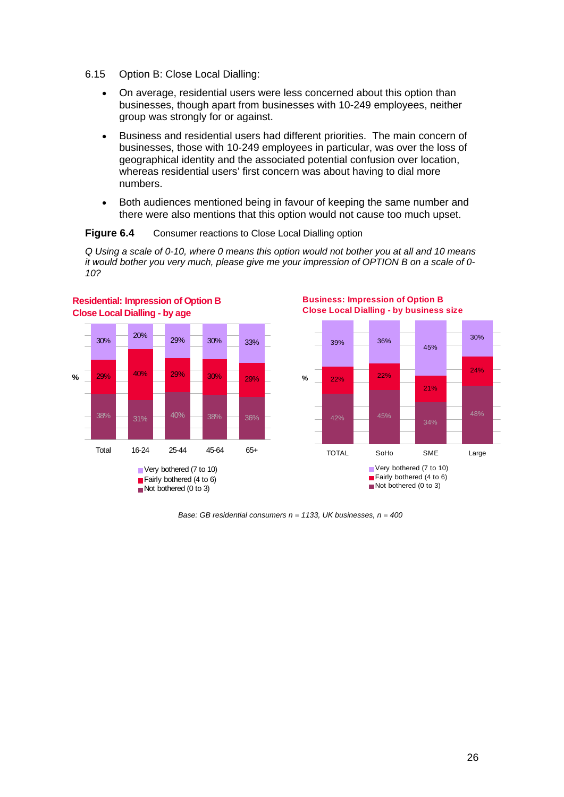- 6.15 Option B: Close Local Dialling:
	- On average, residential users were less concerned about this option than businesses, though apart from businesses with 10-249 employees, neither group was strongly for or against.
	- Business and residential users had different priorities. The main concern of businesses, those with 10-249 employees in particular, was over the loss of geographical identity and the associated potential confusion over location, whereas residential users' first concern was about having to dial more numbers.
	- Both audiences mentioned being in favour of keeping the same number and there were also mentions that this option would not cause too much upset.

#### **Figure 6.4** Consumer reactions to Close Local Dialling option

*Q Using a scale of 0-10, where 0 means this option would not bother you at all and 10 means it would bother you very much, please give me your impression of OPTION B on a scale of 0- 10?* 





**Business: Impression of Option B** 

*Base: GB residential consumers n = 1133, UK businesses, n = 400*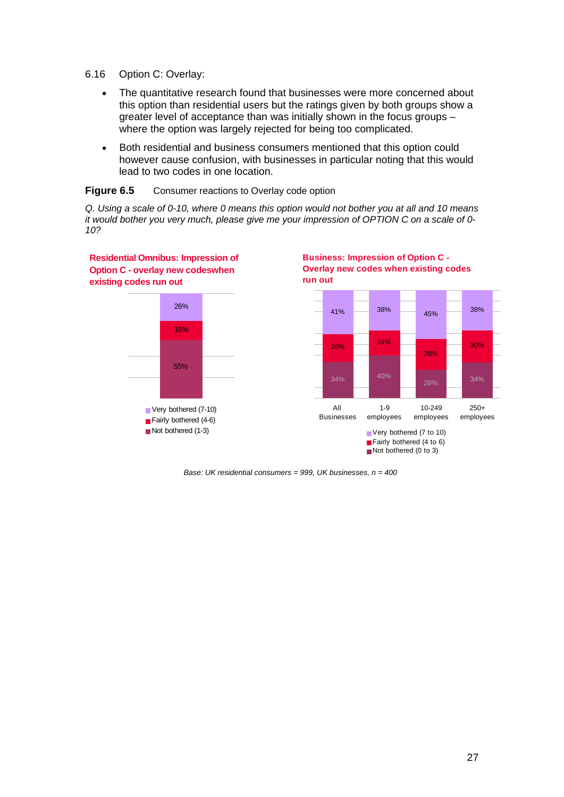- 6.16 Option C: Overlay:
	- The quantitative research found that businesses were more concerned about this option than residential users but the ratings given by both groups show a greater level of acceptance than was initially shown in the focus groups – where the option was largely rejected for being too complicated.
	- Both residential and business consumers mentioned that this option could however cause confusion, with businesses in particular noting that this would lead to two codes in one location.

#### **Figure 6.5** Consumer reactions to Overlay code option

*Q. Using a scale of 0-10, where 0 means this option would not bother you at all and 10 means it would bother you very much, please give me your impression of OPTION C on a scale of 0- 10?* 



*Base: UK residential consumers = 999, UK businesses, n = 400*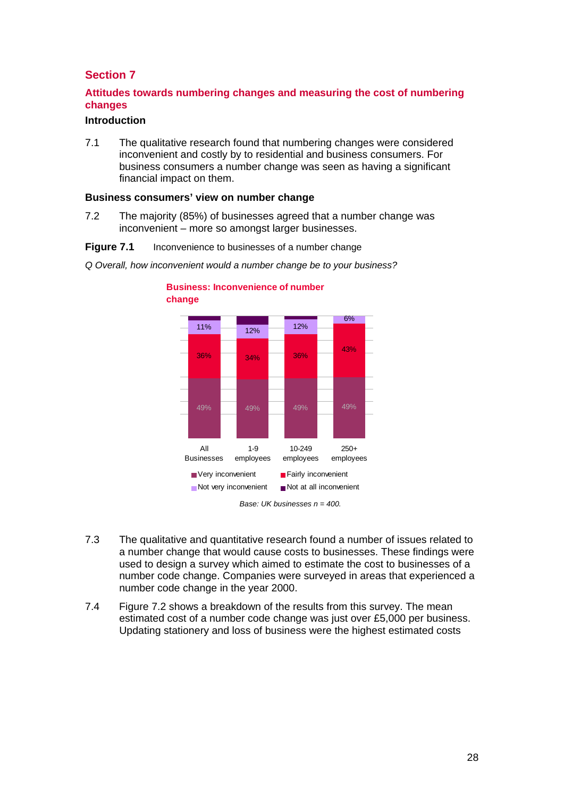## **Section 7**

## **Attitudes towards numbering changes and measuring the cost of numbering changes**

### **Introduction**

7.1 The qualitative research found that numbering changes were considered inconvenient and costly by to residential and business consumers. For business consumers a number change was seen as having a significant financial impact on them.

#### **Business consumers' view on number change**

7.2 The majority (85%) of businesses agreed that a number change was inconvenient – more so amongst larger businesses.

#### **Figure 7.1** Inconvenience to businesses of a number change



*Q Overall, how inconvenient would a number change be to your business?* 

**Business: Inconvenience of number** 

- 7.3 The qualitative and quantitative research found a number of issues related to a number change that would cause costs to businesses. These findings were used to design a survey which aimed to estimate the cost to businesses of a number code change. Companies were surveyed in areas that experienced a number code change in the year 2000.
- 7.4 Figure 7.2 shows a breakdown of the results from this survey. The mean estimated cost of a number code change was just over £5,000 per business. Updating stationery and loss of business were the highest estimated costs

*Base: UK businesses n = 400.*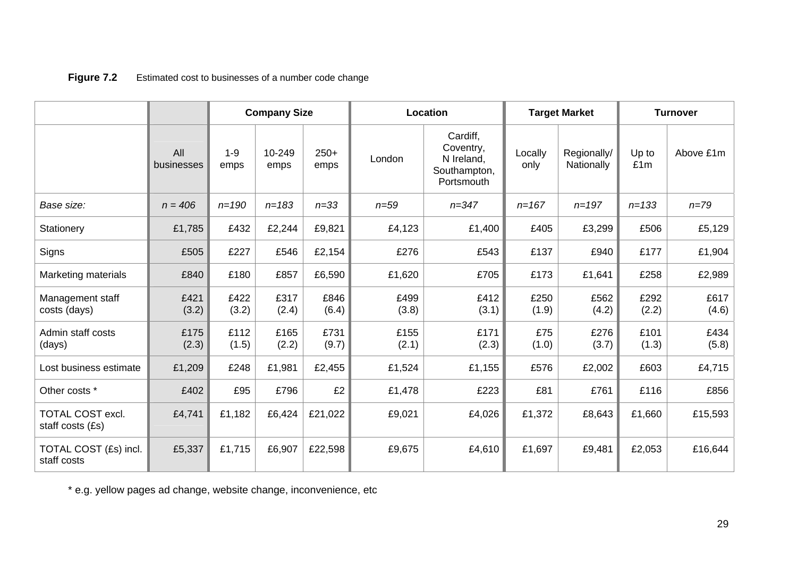|                                             |                   | <b>Company Size</b> |                | Location       |               | <b>Target Market</b>                                              |                 | <b>Turnover</b>           |               |               |
|---------------------------------------------|-------------------|---------------------|----------------|----------------|---------------|-------------------------------------------------------------------|-----------------|---------------------------|---------------|---------------|
|                                             | All<br>businesses | $1 - 9$<br>emps     | 10-249<br>emps | $250+$<br>emps | London        | Cardiff,<br>Coventry,<br>N Ireland,<br>Southampton,<br>Portsmouth | Locally<br>only | Regionally/<br>Nationally | Up to<br>£1m  | Above £1m     |
| Base size:                                  | $n = 406$         | $n = 190$           | $n = 183$      | $n = 33$       | $n = 59$      | $n = 347$                                                         | $n = 167$       | $n = 197$                 | $n = 133$     | $n = 79$      |
| Stationery                                  | £1,785            | £432                | £2,244         | £9,821         | £4,123        | £1,400                                                            | £405            | £3,299                    | £506          | £5,129        |
| Signs                                       | £505              | £227                | £546           | £2,154         | £276          | £543                                                              | £137            | £940                      | £177          | £1,904        |
| Marketing materials                         | £840              | £180                | £857           | £6,590         | £1,620        | £705                                                              | £173            | £1,641                    | £258          | £2,989        |
| Management staff<br>costs (days)            | £421<br>(3.2)     | £422<br>(3.2)       | £317<br>(2.4)  | £846<br>(6.4)  | £499<br>(3.8) | £412<br>(3.1)                                                     | £250<br>(1.9)   | £562<br>(4.2)             | £292<br>(2.2) | £617<br>(4.6) |
| Admin staff costs<br>(days)                 | £175<br>(2.3)     | £112<br>(1.5)       | £165<br>(2.2)  | £731<br>(9.7)  | £155<br>(2.1) | £171<br>(2.3)                                                     | £75<br>(1.0)    | £276<br>(3.7)             | £101<br>(1.3) | £434<br>(5.8) |
| Lost business estimate                      | £1,209            | £248                | £1,981         | £2,455         | £1,524        | £1,155                                                            | £576            | £2,002                    | £603          | £4,715        |
| Other costs *                               | £402              | £95                 | £796           | £2             | £1,478        | £223                                                              | £81             | £761                      | £116          | £856          |
| <b>TOTAL COST excl.</b><br>staff costs (£s) | £4,741            | £1,182              | £6,424         | £21,022        | £9,021        | £4,026                                                            | £1,372          | £8,643                    | £1,660        | £15,593       |
| TOTAL COST (£s) incl.<br>staff costs        | £5,337            | £1,715              | £6,907         | £22,598        | £9,675        | £4,610                                                            | £1,697          | £9,481                    | £2,053        | £16,644       |

## **Figure 7.2** Estimated cost to businesses of a number code change

\* e.g. yellow pages ad change, website change, inconvenience, etc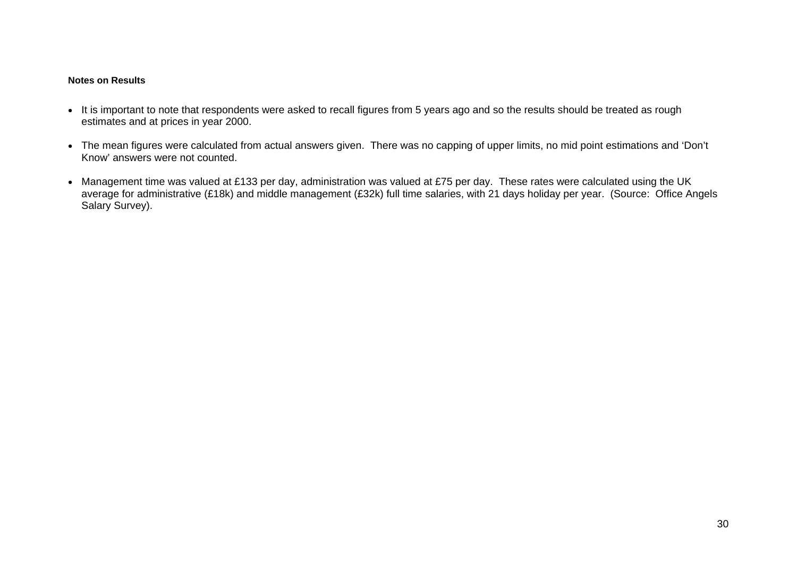#### **Notes on Results**

- It is important to note that respondents were asked to recall figures from 5 years ago and so the results should be treated as rough estimates and at prices in year 2000.
- The mean figures were calculated from actual answers given. There was no capping of upper limits, no mid point estimations and 'Don't Know' answers were not counted.
- Management time was valued at £133 per day, administration was valued at £75 per day. These rates were calculated using the UK average for administrative (£18k) and middle management (£32k) full time salaries, with 21 days holiday per year. (Source: Office Angels Salary Survey).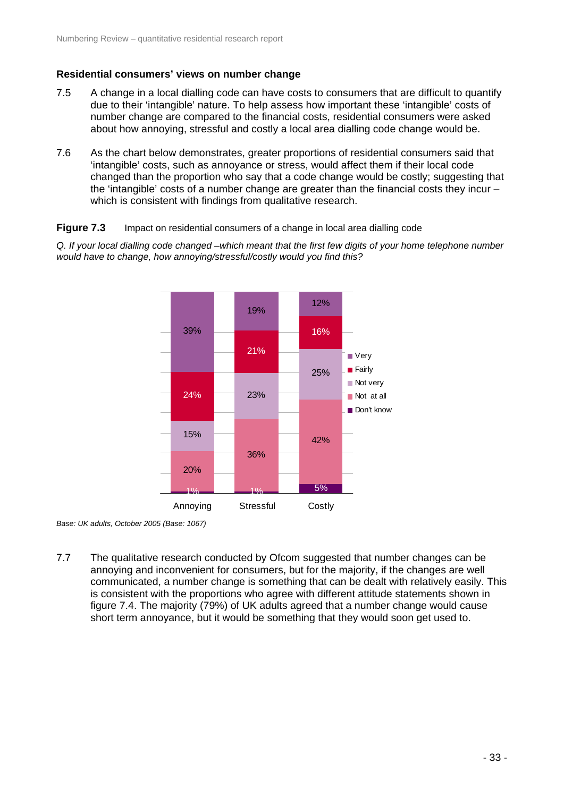### **Residential consumers' views on number change**

- 7.5 A change in a local dialling code can have costs to consumers that are difficult to quantify due to their 'intangible' nature. To help assess how important these 'intangible' costs of number change are compared to the financial costs, residential consumers were asked about how annoying, stressful and costly a local area dialling code change would be.
- 7.6 As the chart below demonstrates, greater proportions of residential consumers said that 'intangible' costs, such as annoyance or stress, would affect them if their local code changed than the proportion who say that a code change would be costly; suggesting that the 'intangible' costs of a number change are greater than the financial costs they incur – which is consistent with findings from qualitative research.

#### **Figure 7.3** Impact on residential consumers of a change in local area dialling code

*Q. If your local dialling code changed –which meant that the first few digits of your home telephone number would have to change, how annoying/stressful/costly would you find this?* 



*Base: UK adults, October 2005 (Base: 1067)* 

7.7 The qualitative research conducted by Ofcom suggested that number changes can be annoying and inconvenient for consumers, but for the majority, if the changes are well communicated, a number change is something that can be dealt with relatively easily. This is consistent with the proportions who agree with different attitude statements shown in figure 7.4. The majority (79%) of UK adults agreed that a number change would cause short term annoyance, but it would be something that they would soon get used to.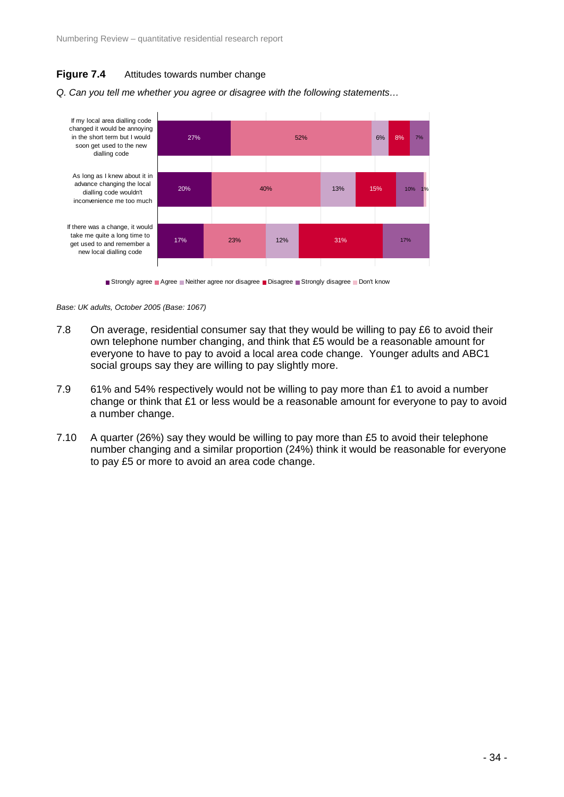## **Figure 7.4** Attitudes towards number change



*Q. Can you tell me whether you agree or disagree with the following statements…* 

Strongly agree Agree Neither agree nor disagree Disagree Strongly disagree Don't know

*Base: UK adults, October 2005 (Base: 1067)* 

- 7.8 On average, residential consumer say that they would be willing to pay £6 to avoid their own telephone number changing, and think that £5 would be a reasonable amount for everyone to have to pay to avoid a local area code change. Younger adults and ABC1 social groups say they are willing to pay slightly more.
- 7.9 61% and 54% respectively would not be willing to pay more than £1 to avoid a number change or think that £1 or less would be a reasonable amount for everyone to pay to avoid a number change.
- 7.10 A quarter (26%) say they would be willing to pay more than £5 to avoid their telephone number changing and a similar proportion (24%) think it would be reasonable for everyone to pay £5 or more to avoid an area code change.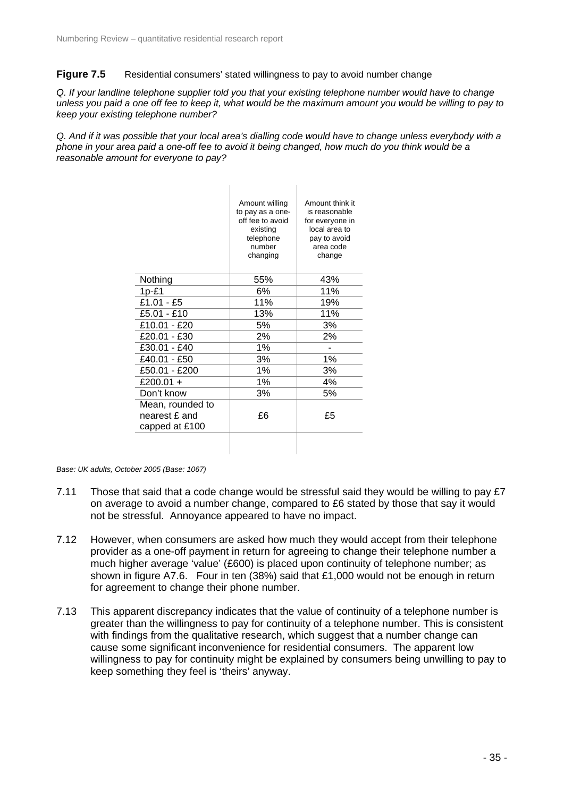#### **Figure 7.5** Residential consumers' stated willingness to pay to avoid number change

*Q. If your landline telephone supplier told you that your existing telephone number would have to change unless you paid a one off fee to keep it, what would be the maximum amount you would be willing to pay to keep your existing telephone number?* 

*Q. And if it was possible that your local area's dialling code would have to change unless everybody with a phone in your area paid a one-off fee to avoid it being changed, how much do you think would be a reasonable amount for everyone to pay?* 

|                                                     | Amount willing<br>to pay as a one-<br>off fee to avoid<br>existing<br>telephone<br>number<br>changing | Amount think it<br>is reasonable<br>for everyone in<br>local area to<br>pay to avoid<br>area code<br>change |
|-----------------------------------------------------|-------------------------------------------------------------------------------------------------------|-------------------------------------------------------------------------------------------------------------|
| Nothing                                             | 55%                                                                                                   | 43%                                                                                                         |
| $1p-f1$                                             | 6%                                                                                                    | 11%                                                                                                         |
| £1.01 - £5                                          | 11%                                                                                                   | 19%                                                                                                         |
| £5.01 - £10                                         | 13%                                                                                                   | 11%                                                                                                         |
| £10.01 - £20                                        | 5%                                                                                                    | 3%                                                                                                          |
| £20.01 - £30                                        | 2%                                                                                                    | 2%                                                                                                          |
| £30.01 - £40                                        | 1%                                                                                                    |                                                                                                             |
| £40.01 - £50                                        | 3%                                                                                                    | 1%                                                                                                          |
| £50.01 - £200                                       | 1%                                                                                                    | 3%                                                                                                          |
| £200.01 +                                           | 1%                                                                                                    | 4%                                                                                                          |
| Don't know                                          | 3%                                                                                                    | 5%                                                                                                          |
| Mean, rounded to<br>nearest £ and<br>capped at £100 | £6                                                                                                    | £5                                                                                                          |
|                                                     |                                                                                                       |                                                                                                             |

*Base: UK adults, October 2005 (Base: 1067)* 

- 7.11 Those that said that a code change would be stressful said they would be willing to pay £7 on average to avoid a number change, compared to £6 stated by those that say it would not be stressful. Annoyance appeared to have no impact.
- 7.12 However, when consumers are asked how much they would accept from their telephone provider as a one-off payment in return for agreeing to change their telephone number a much higher average 'value' (£600) is placed upon continuity of telephone number; as shown in figure A7.6. Four in ten (38%) said that £1,000 would not be enough in return for agreement to change their phone number.
- 7.13 This apparent discrepancy indicates that the value of continuity of a telephone number is greater than the willingness to pay for continuity of a telephone number. This is consistent with findings from the qualitative research, which suggest that a number change can cause some significant inconvenience for residential consumers. The apparent low willingness to pay for continuity might be explained by consumers being unwilling to pay to keep something they feel is 'theirs' anyway.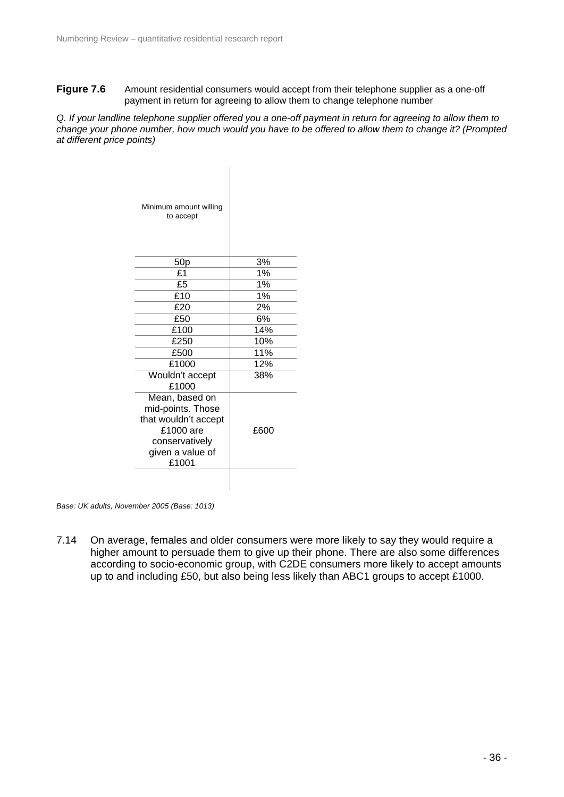**Figure 7.6** Amount residential consumers would accept from their telephone supplier as a one-off payment in return for agreeing to allow them to change telephone number

*Q. If your landline telephone supplier offered you a one-off payment in return for agreeing to allow them to change your phone number, how much would you have to be offered to allow them to change it? (Prompted at different price points)* 

| Minimum amount willing<br>to accept                                                                                     |      |
|-------------------------------------------------------------------------------------------------------------------------|------|
| 50 <sub>p</sub>                                                                                                         | 3%   |
| £1                                                                                                                      | 1%   |
| £5                                                                                                                      | 1%   |
| £10                                                                                                                     | 1%   |
| £20                                                                                                                     | 2%   |
| £50                                                                                                                     | 6%   |
| £100                                                                                                                    | 14%  |
| £250                                                                                                                    | 10%  |
| £500                                                                                                                    | 11%  |
| £1000                                                                                                                   | 12%  |
| Wouldn't accept<br>£1000                                                                                                | 38%  |
| Mean, based on<br>mid-points. Those<br>that wouldn't accept<br>£1000 are<br>conservatively<br>given a value of<br>£1001 | £600 |
|                                                                                                                         |      |

*Base: UK adults, November 2005 (Base: 1013)* 

7.14 On average, females and older consumers were more likely to say they would require a higher amount to persuade them to give up their phone. There are also some differences according to socio-economic group, with C2DE consumers more likely to accept amounts up to and including £50, but also being less likely than ABC1 groups to accept £1000.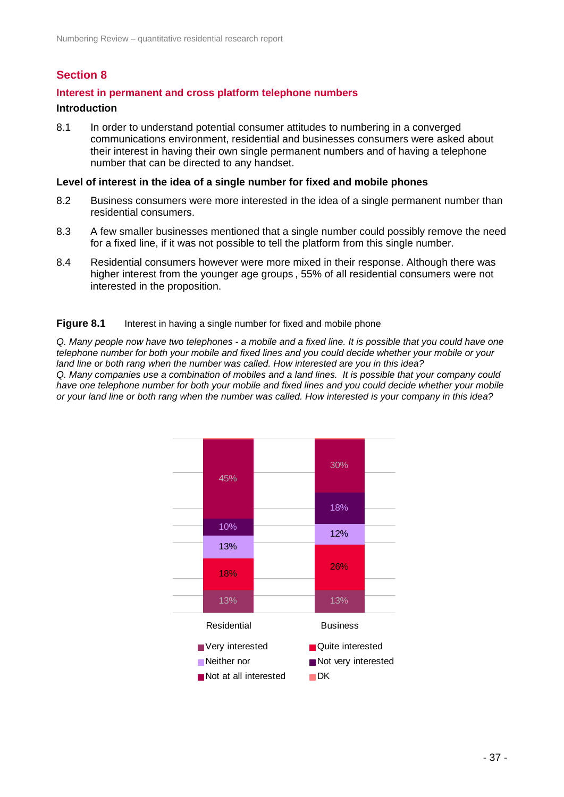# **Section 8**

## **Interest in permanent and cross platform telephone numbers**

### **Introduction**

8.1 In order to understand potential consumer attitudes to numbering in a converged communications environment, residential and businesses consumers were asked about their interest in having their own single permanent numbers and of having a telephone number that can be directed to any handset.

### **Level of interest in the idea of a single number for fixed and mobile phones**

- 8.2 Business consumers were more interested in the idea of a single permanent number than residential consumers.
- 8.3 A few smaller businesses mentioned that a single number could possibly remove the need for a fixed line, if it was not possible to tell the platform from this single number.
- 8.4 Residential consumers however were more mixed in their response. Although there was higher interest from the younger age groups , 55% of all residential consumers were not interested in the proposition.

### **Figure 8.1** Interest in having a single number for fixed and mobile phone

*Q. Many people now have two telephones - a mobile and a fixed line. It is possible that you could have one telephone number for both your mobile and fixed lines and you could decide whether your mobile or your land line or both rang when the number was called. How interested are you in this idea? Q. Many companies use a combination of mobiles and a land lines. It is possible that your company could have one telephone number for both your mobile and fixed lines and you could decide whether your mobile or your land line or both rang when the number was called. How interested is your company in this idea?* 

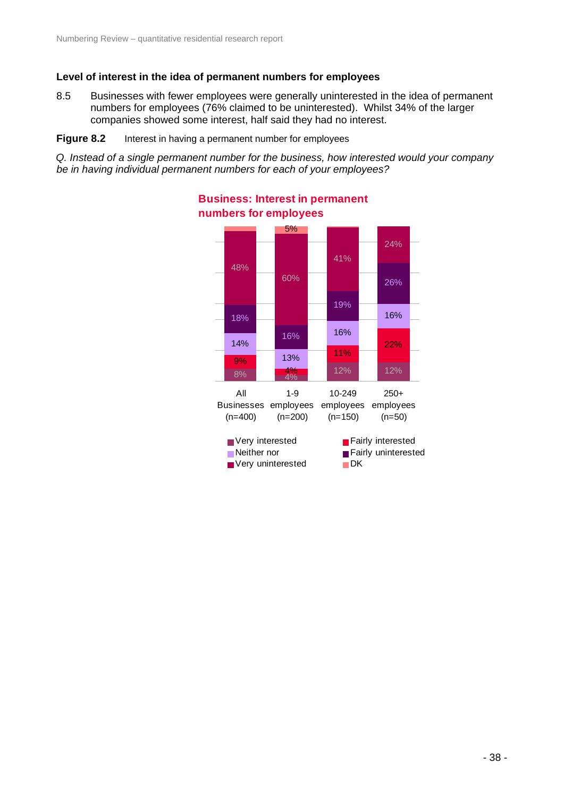## **Level of interest in the idea of permanent numbers for employees**

8.5 Businesses with fewer employees were generally uninterested in the idea of permanent numbers for employees (76% claimed to be uninterested). Whilst 34% of the larger companies showed some interest, half said they had no interest.

#### **Figure 8.2** Interest in having a permanent number for employees

*Q. Instead of a single permanent number for the business, how interested would your company be in having individual permanent numbers for each of your employees?* 



### **Business: Interest in permanent numbers for employees**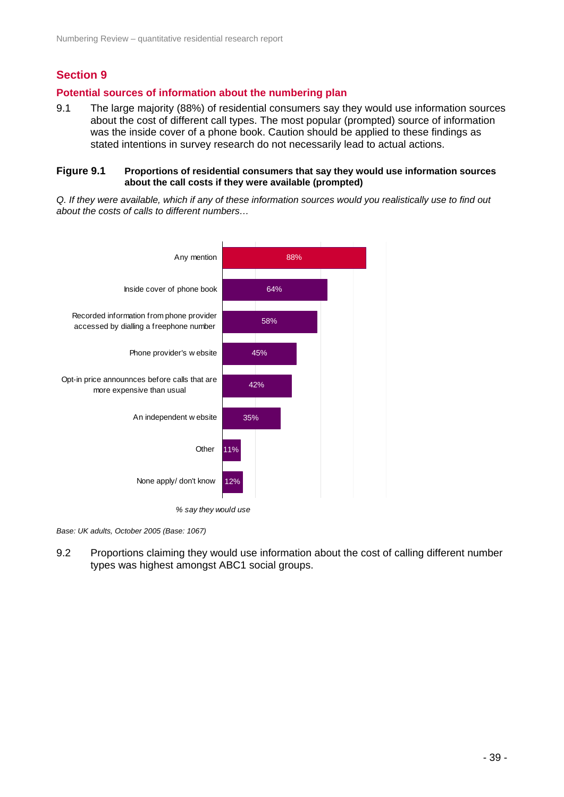## **Section 9**

## **Potential sources of information about the numbering plan**

9.1 The large majority (88%) of residential consumers say they would use information sources about the cost of different call types. The most popular (prompted) source of information was the inside cover of a phone book. Caution should be applied to these findings as stated intentions in survey research do not necessarily lead to actual actions.

#### **Figure 9.1 Proportions of residential consumers that say they would use information sources about the call costs if they were available (prompted)**

*Q. If they were available, which if any of these information sources would you realistically use to find out about the costs of calls to different numbers…* 



*Base: UK adults, October 2005 (Base: 1067)* 

9.2 Proportions claiming they would use information about the cost of calling different number types was highest amongst ABC1 social groups.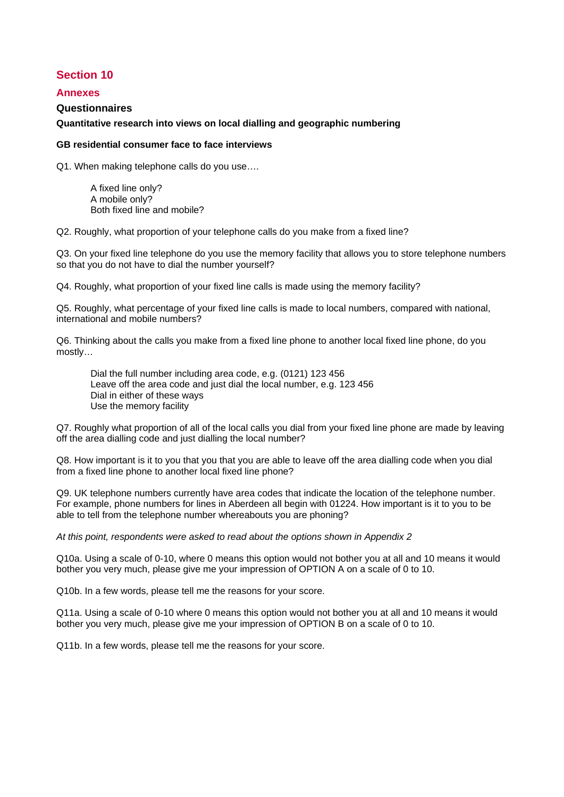## **Section 10**

#### **Annexes**

#### **Questionnaires**

#### **Quantitative research into views on local dialling and geographic numbering**

#### **GB residential consumer face to face interviews**

Q1. When making telephone calls do you use….

 A fixed line only? A mobile only? Both fixed line and mobile?

Q2. Roughly, what proportion of your telephone calls do you make from a fixed line?

Q3. On your fixed line telephone do you use the memory facility that allows you to store telephone numbers so that you do not have to dial the number yourself?

Q4. Roughly, what proportion of your fixed line calls is made using the memory facility?

Q5. Roughly, what percentage of your fixed line calls is made to local numbers, compared with national, international and mobile numbers?

Q6. Thinking about the calls you make from a fixed line phone to another local fixed line phone, do you mostly…

Dial the full number including area code, e.g. (0121) 123 456 Leave off the area code and just dial the local number, e.g. 123 456 Dial in either of these ways Use the memory facility

Q7. Roughly what proportion of all of the local calls you dial from your fixed line phone are made by leaving off the area dialling code and just dialling the local number?

Q8. How important is it to you that you that you are able to leave off the area dialling code when you dial from a fixed line phone to another local fixed line phone?

Q9. UK telephone numbers currently have area codes that indicate the location of the telephone number. For example, phone numbers for lines in Aberdeen all begin with 01224. How important is it to you to be able to tell from the telephone number whereabouts you are phoning?

*At this point, respondents were asked to read about the options shown in Appendix 2* 

Q10a. Using a scale of 0-10, where 0 means this option would not bother you at all and 10 means it would bother you very much, please give me your impression of OPTION A on a scale of 0 to 10.

Q10b. In a few words, please tell me the reasons for your score.

Q11a. Using a scale of 0-10 where 0 means this option would not bother you at all and 10 means it would bother you very much, please give me your impression of OPTION B on a scale of 0 to 10.

Q11b. In a few words, please tell me the reasons for your score.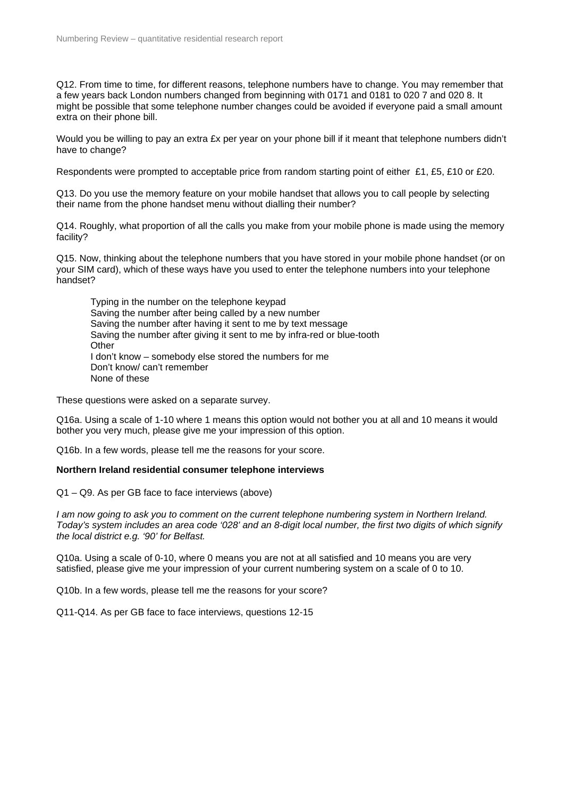Q12. From time to time, for different reasons, telephone numbers have to change. You may remember that a few years back London numbers changed from beginning with 0171 and 0181 to 020 7 and 020 8. It might be possible that some telephone number changes could be avoided if everyone paid a small amount extra on their phone bill.

Would you be willing to pay an extra £x per year on your phone bill if it meant that telephone numbers didn't have to change?

Respondents were prompted to acceptable price from random starting point of either £1, £5, £10 or £20.

Q13. Do you use the memory feature on your mobile handset that allows you to call people by selecting their name from the phone handset menu without dialling their number?

Q14. Roughly, what proportion of all the calls you make from your mobile phone is made using the memory facility?

Q15. Now, thinking about the telephone numbers that you have stored in your mobile phone handset (or on your SIM card), which of these ways have you used to enter the telephone numbers into your telephone handset?

 Typing in the number on the telephone keypad Saving the number after being called by a new number Saving the number after having it sent to me by text message Saving the number after giving it sent to me by infra-red or blue-tooth **Other**  I don't know – somebody else stored the numbers for me Don't know/ can't remember None of these

These questions were asked on a separate survey.

Q16a. Using a scale of 1-10 where 1 means this option would not bother you at all and 10 means it would bother you very much, please give me your impression of this option.

Q16b. In a few words, please tell me the reasons for your score.

#### **Northern Ireland residential consumer telephone interviews**

Q1 – Q9. As per GB face to face interviews (above)

*I am now going to ask you to comment on the current telephone numbering system in Northern Ireland. Today's system includes an area code '028' and an 8-digit local number, the first two digits of which signify the local district e.g. '90' for Belfast.* 

Q10a. Using a scale of 0-10, where 0 means you are not at all satisfied and 10 means you are very satisfied, please give me your impression of your current numbering system on a scale of 0 to 10.

Q10b. In a few words, please tell me the reasons for your score?

Q11-Q14. As per GB face to face interviews, questions 12-15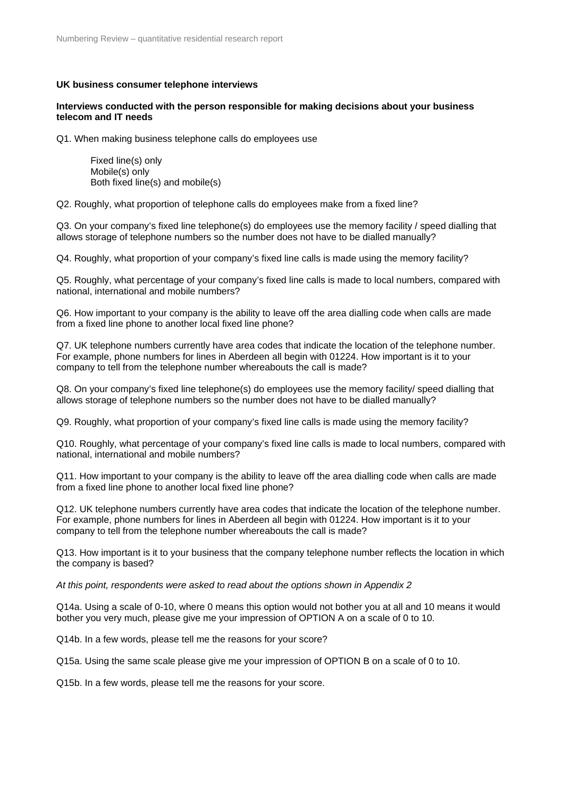#### **UK business consumer telephone interviews**

#### **Interviews conducted with the person responsible for making decisions about your business telecom and IT needs**

Q1. When making business telephone calls do employees use

 Fixed line(s) only Mobile(s) only Both fixed line(s) and mobile(s)

Q2. Roughly, what proportion of telephone calls do employees make from a fixed line?

Q3. On your company's fixed line telephone(s) do employees use the memory facility / speed dialling that allows storage of telephone numbers so the number does not have to be dialled manually?

Q4. Roughly, what proportion of your company's fixed line calls is made using the memory facility?

Q5. Roughly, what percentage of your company's fixed line calls is made to local numbers, compared with national, international and mobile numbers?

Q6. How important to your company is the ability to leave off the area dialling code when calls are made from a fixed line phone to another local fixed line phone?

Q7. UK telephone numbers currently have area codes that indicate the location of the telephone number. For example, phone numbers for lines in Aberdeen all begin with 01224. How important is it to your company to tell from the telephone number whereabouts the call is made?

Q8. On your company's fixed line telephone(s) do employees use the memory facility/ speed dialling that allows storage of telephone numbers so the number does not have to be dialled manually?

Q9. Roughly, what proportion of your company's fixed line calls is made using the memory facility?

Q10. Roughly, what percentage of your company's fixed line calls is made to local numbers, compared with national, international and mobile numbers?

Q11. How important to your company is the ability to leave off the area dialling code when calls are made from a fixed line phone to another local fixed line phone?

Q12. UK telephone numbers currently have area codes that indicate the location of the telephone number. For example, phone numbers for lines in Aberdeen all begin with 01224. How important is it to your company to tell from the telephone number whereabouts the call is made?

Q13. How important is it to your business that the company telephone number reflects the location in which the company is based?

*At this point, respondents were asked to read about the options shown in Appendix 2*

Q14a. Using a scale of 0-10, where 0 means this option would not bother you at all and 10 means it would bother you very much, please give me your impression of OPTION A on a scale of 0 to 10.

Q14b. In a few words, please tell me the reasons for your score?

Q15a. Using the same scale please give me your impression of OPTION B on a scale of 0 to 10.

Q15b. In a few words, please tell me the reasons for your score.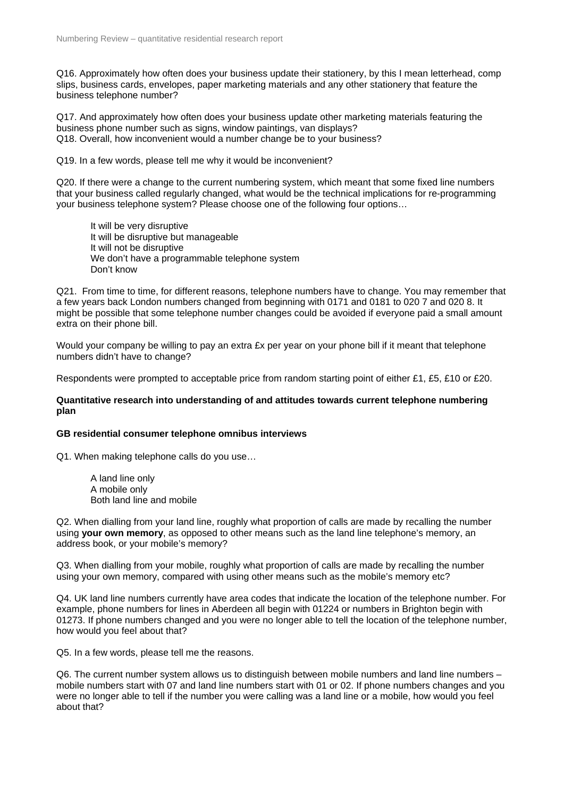Q16. Approximately how often does your business update their stationery, by this I mean letterhead, comp slips, business cards, envelopes, paper marketing materials and any other stationery that feature the business telephone number?

Q17. And approximately how often does your business update other marketing materials featuring the business phone number such as signs, window paintings, van displays? Q18. Overall, how inconvenient would a number change be to your business?

Q19. In a few words, please tell me why it would be inconvenient?

Q20. If there were a change to the current numbering system, which meant that some fixed line numbers that your business called regularly changed, what would be the technical implications for re-programming your business telephone system? Please choose one of the following four options…

 It will be very disruptive It will be disruptive but manageable It will not be disruptive We don't have a programmable telephone system Don't know

Q21. From time to time, for different reasons, telephone numbers have to change. You may remember that a few years back London numbers changed from beginning with 0171 and 0181 to 020 7 and 020 8. It might be possible that some telephone number changes could be avoided if everyone paid a small amount extra on their phone bill.

Would your company be willing to pay an extra £x per year on your phone bill if it meant that telephone numbers didn't have to change?

Respondents were prompted to acceptable price from random starting point of either £1, £5, £10 or £20.

#### **Quantitative research into understanding of and attitudes towards current telephone numbering plan**

#### **GB residential consumer telephone omnibus interviews**

Q1. When making telephone calls do you use…

 A land line only A mobile only Both land line and mobile

Q2. When dialling from your land line, roughly what proportion of calls are made by recalling the number using **your own memory**, as opposed to other means such as the land line telephone's memory, an address book, or your mobile's memory?

Q3. When dialling from your mobile, roughly what proportion of calls are made by recalling the number using your own memory, compared with using other means such as the mobile's memory etc?

Q4. UK land line numbers currently have area codes that indicate the location of the telephone number. For example, phone numbers for lines in Aberdeen all begin with 01224 or numbers in Brighton begin with 01273. If phone numbers changed and you were no longer able to tell the location of the telephone number, how would you feel about that?

Q5. In a few words, please tell me the reasons.

Q6. The current number system allows us to distinguish between mobile numbers and land line numbers – mobile numbers start with 07 and land line numbers start with 01 or 02. If phone numbers changes and you were no longer able to tell if the number you were calling was a land line or a mobile, how would you feel about that?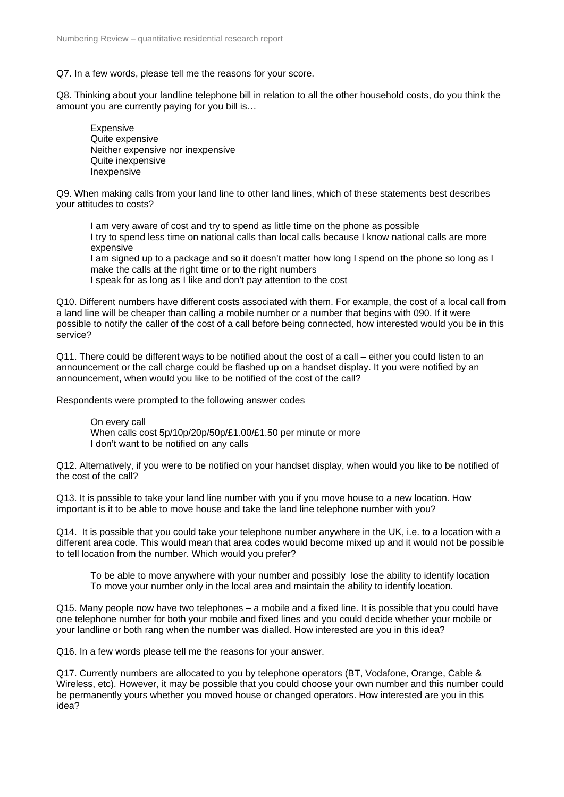Q7. In a few words, please tell me the reasons for your score.

Q8. Thinking about your landline telephone bill in relation to all the other household costs, do you think the amount you are currently paying for you bill is…

 Expensive Quite expensive Neither expensive nor inexpensive Quite inexpensive Inexpensive

Q9. When making calls from your land line to other land lines, which of these statements best describes your attitudes to costs?

 I am very aware of cost and try to spend as little time on the phone as possible I try to spend less time on national calls than local calls because I know national calls are more expensive

I am signed up to a package and so it doesn't matter how long I spend on the phone so long as I make the calls at the right time or to the right numbers

I speak for as long as I like and don't pay attention to the cost

Q10. Different numbers have different costs associated with them. For example, the cost of a local call from a land line will be cheaper than calling a mobile number or a number that begins with 090. If it were possible to notify the caller of the cost of a call before being connected, how interested would you be in this service?

Q11. There could be different ways to be notified about the cost of a call – either you could listen to an announcement or the call charge could be flashed up on a handset display. It you were notified by an announcement, when would you like to be notified of the cost of the call?

Respondents were prompted to the following answer codes

 On every call When calls cost 5p/10p/20p/50p/£1.00/£1.50 per minute or more I don't want to be notified on any calls

Q12. Alternatively, if you were to be notified on your handset display, when would you like to be notified of the cost of the call?

Q13. It is possible to take your land line number with you if you move house to a new location. How important is it to be able to move house and take the land line telephone number with you?

Q14. It is possible that you could take your telephone number anywhere in the UK, i.e. to a location with a different area code. This would mean that area codes would become mixed up and it would not be possible to tell location from the number. Which would you prefer?

 To be able to move anywhere with your number and possibly lose the ability to identify location To move your number only in the local area and maintain the ability to identify location.

Q15. Many people now have two telephones – a mobile and a fixed line. It is possible that you could have one telephone number for both your mobile and fixed lines and you could decide whether your mobile or your landline or both rang when the number was dialled. How interested are you in this idea?

Q16. In a few words please tell me the reasons for your answer.

Q17. Currently numbers are allocated to you by telephone operators (BT, Vodafone, Orange, Cable & Wireless, etc). However, it may be possible that you could choose your own number and this number could be permanently yours whether you moved house or changed operators. How interested are you in this idea?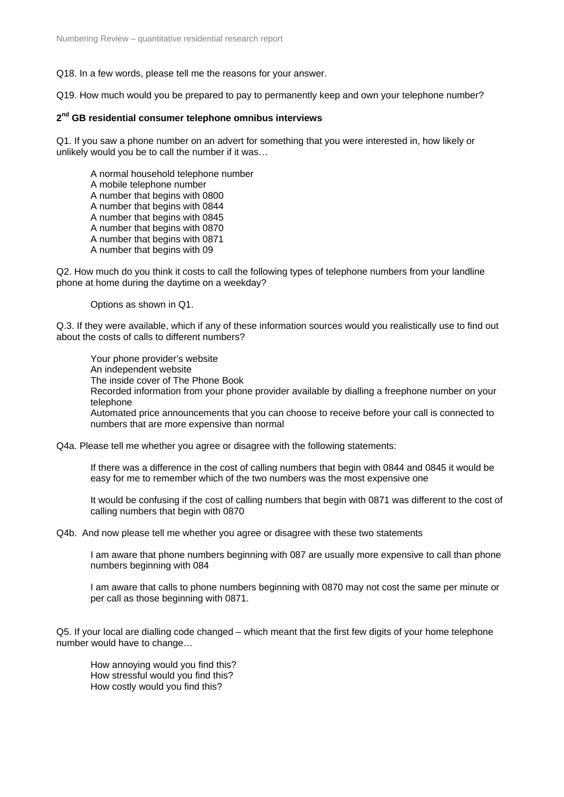Q18. In a few words, please tell me the reasons for your answer.

Q19. How much would you be prepared to pay to permanently keep and own your telephone number?

#### **2nd GB residential consumer telephone omnibus interviews**

Q1. If you saw a phone number on an advert for something that you were interested in, how likely or unlikely would you be to call the number if it was…

 A normal household telephone number A mobile telephone number A number that begins with 0800 A number that begins with 0844 A number that begins with 0845 A number that begins with 0870 A number that begins with 0871 A number that begins with 09

Q2. How much do you think it costs to call the following types of telephone numbers from your landline phone at home during the daytime on a weekday?

Options as shown in Q1.

Q.3. If they were available, which if any of these information sources would you realistically use to find out about the costs of calls to different numbers?

 Your phone provider's website An independent website The inside cover of The Phone Book Recorded information from your phone provider available by dialling a freephone number on your telephone Automated price announcements that you can choose to receive before your call is connected to numbers that are more expensive than normal

Q4a. Please tell me whether you agree or disagree with the following statements:

If there was a difference in the cost of calling numbers that begin with 0844 and 0845 it would be easy for me to remember which of the two numbers was the most expensive one

It would be confusing if the cost of calling numbers that begin with 0871 was different to the cost of calling numbers that begin with 0870

Q4b. And now please tell me whether you agree or disagree with these two statements

I am aware that phone numbers beginning with 087 are usually more expensive to call than phone numbers beginning with 084

I am aware that calls to phone numbers beginning with 0870 may not cost the same per minute or per call as those beginning with 0871.

Q5. If your local are dialling code changed – which meant that the first few digits of your home telephone number would have to change…

 How annoying would you find this? How stressful would you find this? How costly would you find this?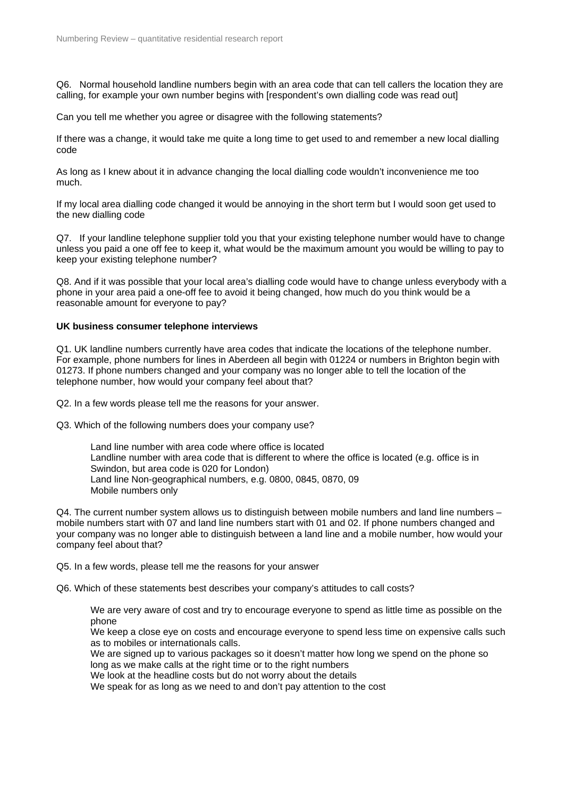Q6. Normal household landline numbers begin with an area code that can tell callers the location they are calling, for example your own number begins with [respondent's own dialling code was read out]

Can you tell me whether you agree or disagree with the following statements?

If there was a change, it would take me quite a long time to get used to and remember a new local dialling code

As long as I knew about it in advance changing the local dialling code wouldn't inconvenience me too much.

If my local area dialling code changed it would be annoying in the short term but I would soon get used to the new dialling code

Q7. If your landline telephone supplier told you that your existing telephone number would have to change unless you paid a one off fee to keep it, what would be the maximum amount you would be willing to pay to keep your existing telephone number?

Q8. And if it was possible that your local area's dialling code would have to change unless everybody with a phone in your area paid a one-off fee to avoid it being changed, how much do you think would be a reasonable amount for everyone to pay?

#### **UK business consumer telephone interviews**

Q1. UK landline numbers currently have area codes that indicate the locations of the telephone number. For example, phone numbers for lines in Aberdeen all begin with 01224 or numbers in Brighton begin with 01273. If phone numbers changed and your company was no longer able to tell the location of the telephone number, how would your company feel about that?

Q2. In a few words please tell me the reasons for your answer.

Q3. Which of the following numbers does your company use?

 Land line number with area code where office is located Landline number with area code that is different to where the office is located (e.g. office is in Swindon, but area code is 020 for London) Land line Non-geographical numbers, e.g. 0800, 0845, 0870, 09 Mobile numbers only

Q4. The current number system allows us to distinguish between mobile numbers and land line numbers – mobile numbers start with 07 and land line numbers start with 01 and 02. If phone numbers changed and your company was no longer able to distinguish between a land line and a mobile number, how would your company feel about that?

Q5. In a few words, please tell me the reasons for your answer

Q6. Which of these statements best describes your company's attitudes to call costs?

We are very aware of cost and try to encourage everyone to spend as little time as possible on the phone

We keep a close eye on costs and encourage everyone to spend less time on expensive calls such as to mobiles or internationals calls.

We are signed up to various packages so it doesn't matter how long we spend on the phone so long as we make calls at the right time or to the right numbers

We look at the headline costs but do not worry about the details

We speak for as long as we need to and don't pay attention to the cost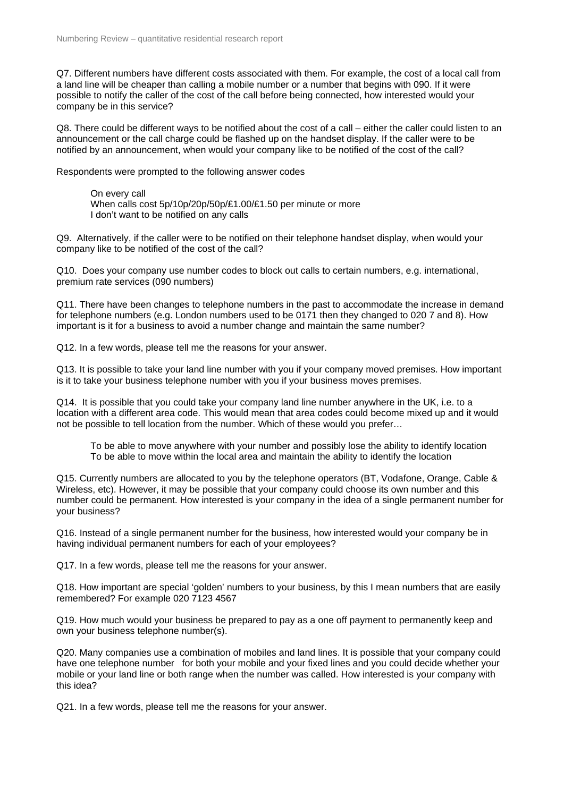Q7. Different numbers have different costs associated with them. For example, the cost of a local call from a land line will be cheaper than calling a mobile number or a number that begins with 090. If it were possible to notify the caller of the cost of the call before being connected, how interested would your company be in this service?

Q8. There could be different ways to be notified about the cost of a call – either the caller could listen to an announcement or the call charge could be flashed up on the handset display. If the caller were to be notified by an announcement, when would your company like to be notified of the cost of the call?

Respondents were prompted to the following answer codes

 On every call When calls cost 5p/10p/20p/50p/£1.00/£1.50 per minute or more I don't want to be notified on any calls

Q9. Alternatively, if the caller were to be notified on their telephone handset display, when would your company like to be notified of the cost of the call?

Q10. Does your company use number codes to block out calls to certain numbers, e.g. international, premium rate services (090 numbers)

Q11. There have been changes to telephone numbers in the past to accommodate the increase in demand for telephone numbers (e.g. London numbers used to be 0171 then they changed to 020 7 and 8). How important is it for a business to avoid a number change and maintain the same number?

Q12. In a few words, please tell me the reasons for your answer.

Q13. It is possible to take your land line number with you if your company moved premises. How important is it to take your business telephone number with you if your business moves premises.

Q14. It is possible that you could take your company land line number anywhere in the UK, i.e. to a location with a different area code. This would mean that area codes could become mixed up and it would not be possible to tell location from the number. Which of these would you prefer…

 To be able to move anywhere with your number and possibly lose the ability to identify location To be able to move within the local area and maintain the ability to identify the location

Q15. Currently numbers are allocated to you by the telephone operators (BT, Vodafone, Orange, Cable & Wireless, etc). However, it may be possible that your company could choose its own number and this number could be permanent. How interested is your company in the idea of a single permanent number for your business?

Q16. Instead of a single permanent number for the business, how interested would your company be in having individual permanent numbers for each of your employees?

Q17. In a few words, please tell me the reasons for your answer.

Q18. How important are special 'golden' numbers to your business, by this I mean numbers that are easily remembered? For example 020 7123 4567

Q19. How much would your business be prepared to pay as a one off payment to permanently keep and own your business telephone number(s).

Q20. Many companies use a combination of mobiles and land lines. It is possible that your company could have one telephone number for both your mobile and your fixed lines and you could decide whether your mobile or your land line or both range when the number was called. How interested is your company with this idea?

Q21. In a few words, please tell me the reasons for your answer.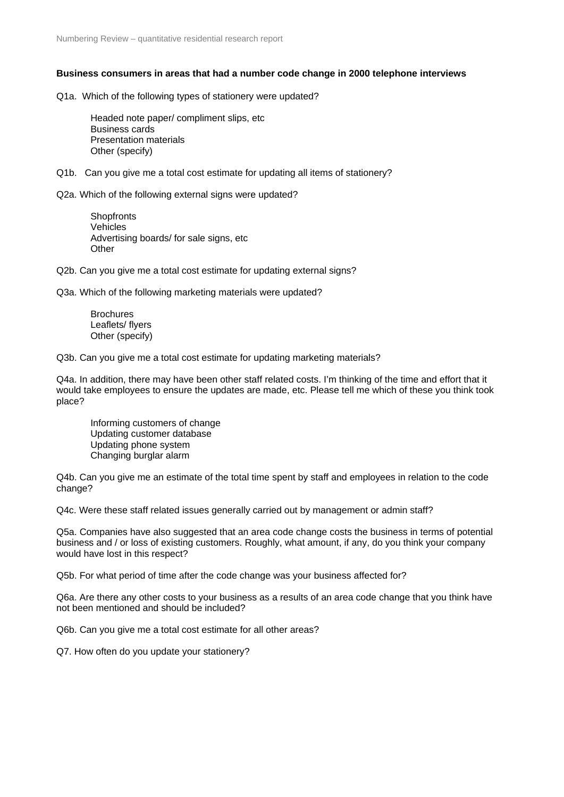#### **Business consumers in areas that had a number code change in 2000 telephone interviews**

Q1a. Which of the following types of stationery were updated?

 Headed note paper/ compliment slips, etc Business cards Presentation materials Other (specify)

Q1b. Can you give me a total cost estimate for updating all items of stationery?

Q2a. Which of the following external signs were updated?

**Shopfronts**  Vehicles Advertising boards/ for sale signs, etc **Other** 

Q2b. Can you give me a total cost estimate for updating external signs?

Q3a. Which of the following marketing materials were updated?

**Brochures**  Leaflets/ flyers Other (specify)

Q3b. Can you give me a total cost estimate for updating marketing materials?

Q4a. In addition, there may have been other staff related costs. I'm thinking of the time and effort that it would take employees to ensure the updates are made, etc. Please tell me which of these you think took place?

 Informing customers of change Updating customer database Updating phone system Changing burglar alarm

Q4b. Can you give me an estimate of the total time spent by staff and employees in relation to the code change?

Q4c. Were these staff related issues generally carried out by management or admin staff?

Q5a. Companies have also suggested that an area code change costs the business in terms of potential business and / or loss of existing customers. Roughly, what amount, if any, do you think your company would have lost in this respect?

Q5b. For what period of time after the code change was your business affected for?

Q6a. Are there any other costs to your business as a results of an area code change that you think have not been mentioned and should be included?

Q6b. Can you give me a total cost estimate for all other areas?

Q7. How often do you update your stationery?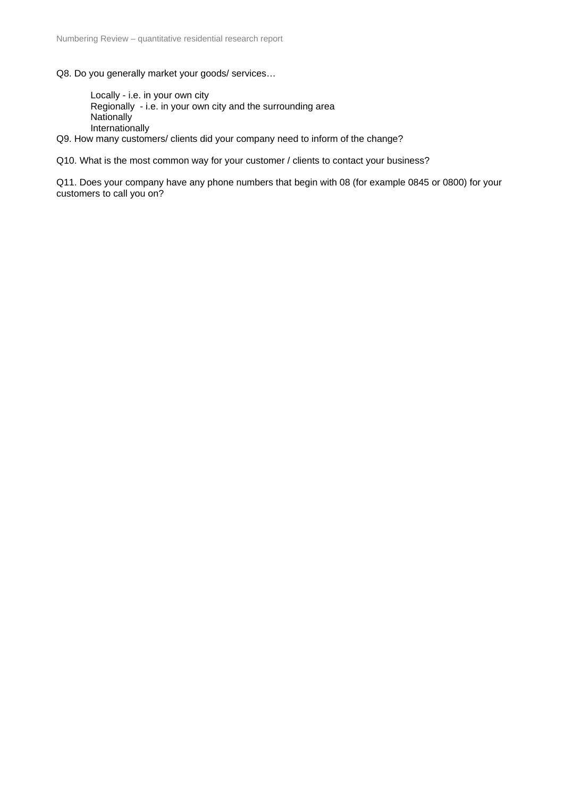Q8. Do you generally market your goods/ services…

 Locally - i.e. in your own city Regionally - i.e. in your own city and the surrounding area **Nationally** Internationally

Q9. How many customers/ clients did your company need to inform of the change?

Q10. What is the most common way for your customer / clients to contact your business?

Q11. Does your company have any phone numbers that begin with 08 (for example 0845 or 0800) for your customers to call you on?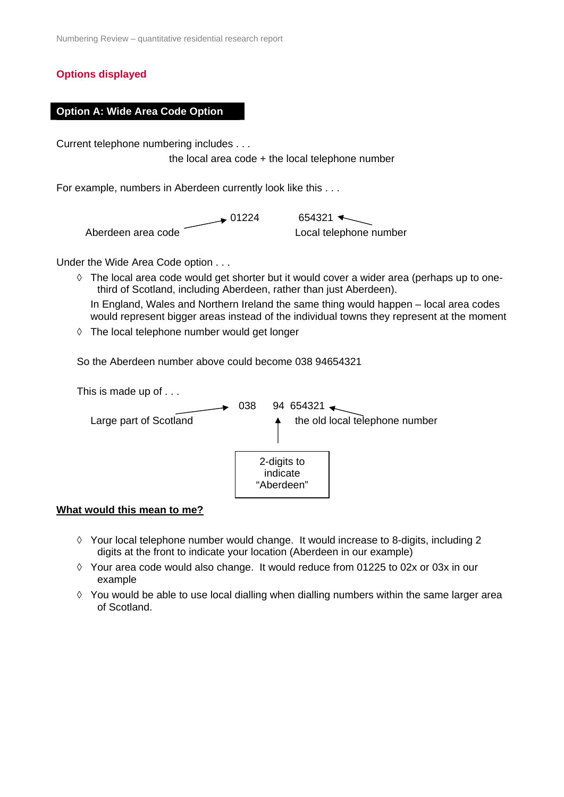## **Options displayed**

#### **Option A: Wide Area Code Option**

Current telephone numbering includes . . .

the local area code + the local telephone number

For example, numbers in Aberdeen currently look like this . . .

 $\rightarrow$  01224 654321 Aberdeen area code Local telephone number

Under the Wide Area Code option . . .

- ◊ The local area code would get shorter but it would cover a wider area (perhaps up to onethird of Scotland, including Aberdeen, rather than just Aberdeen). In England, Wales and Northern Ireland the same thing would happen – local area codes would represent bigger areas instead of the individual towns they represent at the moment
- ◊ The local telephone number would get longer

So the Aberdeen number above could become 038 94654321

This is made up of . . .



#### **What would this mean to me?**

- ◊ Your local telephone number would change. It would increase to 8-digits, including 2 digits at the front to indicate your location (Aberdeen in our example)
- $\Diamond$  Your area code would also change. It would reduce from 01225 to 02x or 03x in our example
- $\Diamond$  You would be able to use local dialling when dialling numbers within the same larger area of Scotland.